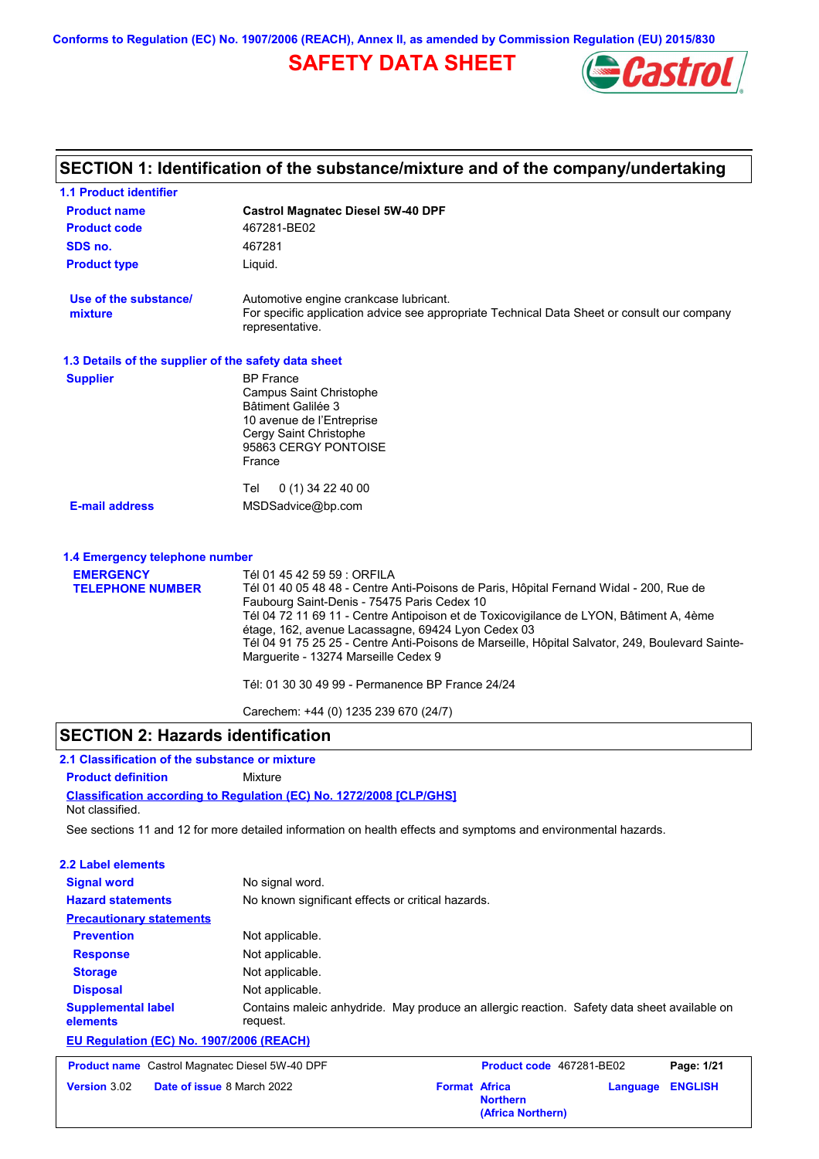**Conforms to Regulation (EC) No. 1907/2006 (REACH), Annex II, as amended by Commission Regulation (EU) 2015/830**

# **SAFETY DATA SHEET**



# **SECTION 1: Identification of the substance/mixture and of the company/undertaking**

| <b>1.1 Product identifier</b>                        |                                                                                                                                                                                                                                                                                                                                                                                                                                                                                                                     |  |
|------------------------------------------------------|---------------------------------------------------------------------------------------------------------------------------------------------------------------------------------------------------------------------------------------------------------------------------------------------------------------------------------------------------------------------------------------------------------------------------------------------------------------------------------------------------------------------|--|
| <b>Product name</b>                                  | <b>Castrol Magnatec Diesel 5W-40 DPF</b>                                                                                                                                                                                                                                                                                                                                                                                                                                                                            |  |
| <b>Product code</b>                                  | 467281-BE02                                                                                                                                                                                                                                                                                                                                                                                                                                                                                                         |  |
| SDS no.                                              | 467281                                                                                                                                                                                                                                                                                                                                                                                                                                                                                                              |  |
| <b>Product type</b>                                  | Liquid.                                                                                                                                                                                                                                                                                                                                                                                                                                                                                                             |  |
| Use of the substance/<br>mixture                     | Automotive engine crankcase lubricant.<br>For specific application advice see appropriate Technical Data Sheet or consult our company<br>representative.                                                                                                                                                                                                                                                                                                                                                            |  |
| 1.3 Details of the supplier of the safety data sheet |                                                                                                                                                                                                                                                                                                                                                                                                                                                                                                                     |  |
| <b>Supplier</b>                                      | <b>BP</b> France<br><b>Campus Saint Christophe</b><br><b>Bâtiment Galilée 3</b><br>10 avenue de l'Entreprise<br>Cergy Saint Christophe<br>95863 CERGY PONTOISE<br>France                                                                                                                                                                                                                                                                                                                                            |  |
| <b>E-mail address</b>                                | Tel<br>$0(1)$ 34 22 40 00<br>MSDSadvice@bp.com                                                                                                                                                                                                                                                                                                                                                                                                                                                                      |  |
| 1.4 Emergency telephone number                       |                                                                                                                                                                                                                                                                                                                                                                                                                                                                                                                     |  |
| <b>EMERGENCY</b><br><b>TELEPHONE NUMBER</b>          | Tél 01 45 42 59 59 : ORFILA<br>Tél 01 40 05 48 48 - Centre Anti-Poisons de Paris, Hôpital Fernand Widal - 200, Rue de<br>Faubourg Saint-Denis - 75475 Paris Cedex 10<br>Tél 04 72 11 69 11 - Centre Antipoison et de Toxicovigilance de LYON, Bâtiment A, 4ème<br>étage, 162, avenue Lacassagne, 69424 Lyon Cedex 03<br>Tél 04 91 75 25 25 - Centre Anti-Poisons de Marseille, Hôpital Salvator, 249, Boulevard Sainte-<br>Marguerite - 13274 Marseille Cedex 9<br>Tél: 01 30 30 49 99 - Permanence BP France 24/24 |  |

Carechem: +44 (0) 1235 239 670 (24/7)

### **SECTION 2: Hazards identification**

### **Classification according to Regulation (EC) No. 1272/2008 [CLP/GHS] 2.1 Classification of the substance or mixture Product definition** Mixture Not classified.

See sections 11 and 12 for more detailed information on health effects and symptoms and environmental hazards.

| 2.2 Label elements                       |                                                                                                         |  |
|------------------------------------------|---------------------------------------------------------------------------------------------------------|--|
| <b>Signal word</b>                       | No signal word.                                                                                         |  |
| <b>Hazard statements</b>                 | No known significant effects or critical hazards.                                                       |  |
| <b>Precautionary statements</b>          |                                                                                                         |  |
| <b>Prevention</b>                        | Not applicable.                                                                                         |  |
| <b>Response</b>                          | Not applicable.                                                                                         |  |
| <b>Storage</b>                           | Not applicable.                                                                                         |  |
| <b>Disposal</b>                          | Not applicable.                                                                                         |  |
| <b>Supplemental label</b><br>elements    | Contains maleic anhydride. May produce an allergic reaction. Safety data sheet available on<br>request. |  |
| EU Regulation (EC) No. 1907/2006 (REACH) |                                                                                                         |  |

| <b>Product name</b> Castrol Magnatec Diesel 5W-40 DPF |                                   |                      | <b>Product code</b> 467281-BE02      |                  | Page: 1/21 |
|-------------------------------------------------------|-----------------------------------|----------------------|--------------------------------------|------------------|------------|
| <b>Version</b> 3.02                                   | <b>Date of issue 8 March 2022</b> | <b>Format Africa</b> | <b>Northern</b><br>(Africa Northern) | Language ENGLISH |            |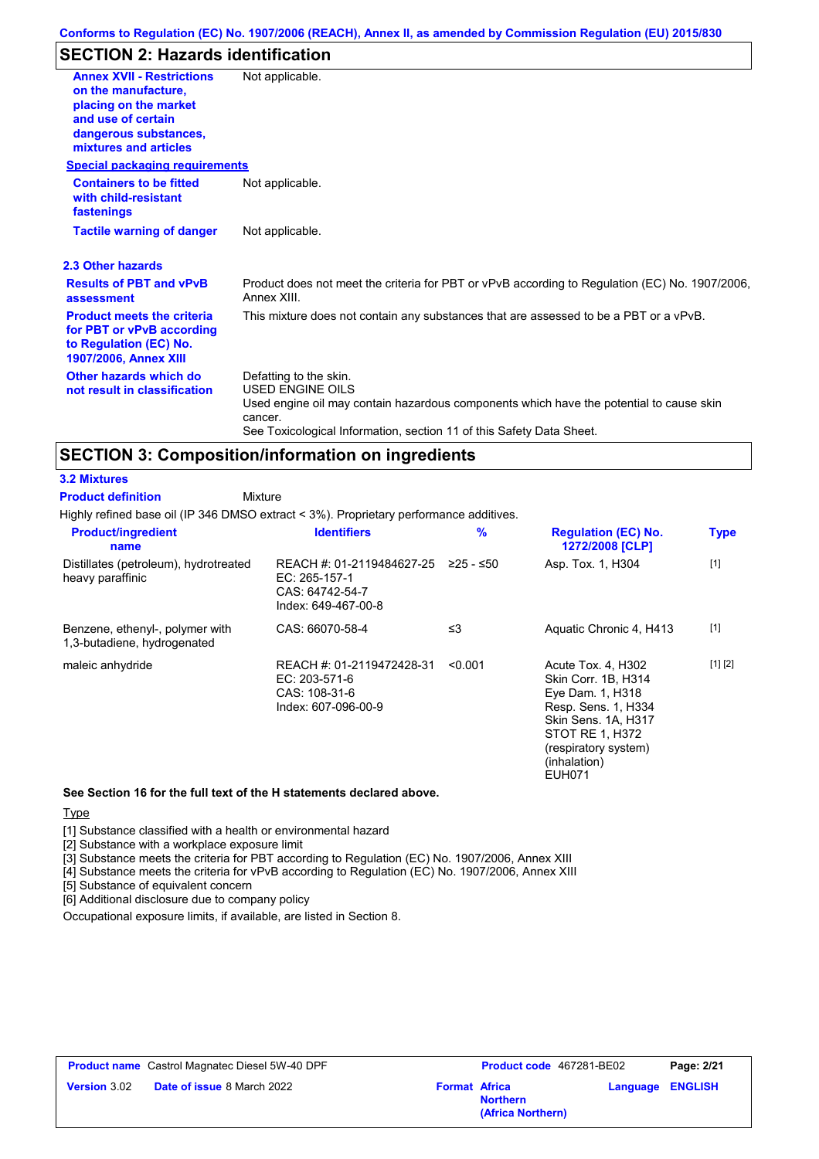### **SECTION 2: Hazards identification**

| <b>Annex XVII - Restrictions</b><br>on the manufacture,<br>placing on the market<br>and use of certain<br>dangerous substances,<br>mixtures and articles | Not applicable.                                                                                                                                                                                                                 |
|----------------------------------------------------------------------------------------------------------------------------------------------------------|---------------------------------------------------------------------------------------------------------------------------------------------------------------------------------------------------------------------------------|
| <b>Special packaging requirements</b>                                                                                                                    |                                                                                                                                                                                                                                 |
| <b>Containers to be fitted</b><br>with child-resistant<br>fastenings                                                                                     | Not applicable.                                                                                                                                                                                                                 |
| <b>Tactile warning of danger</b>                                                                                                                         | Not applicable.                                                                                                                                                                                                                 |
| 2.3 Other hazards                                                                                                                                        |                                                                                                                                                                                                                                 |
| <b>Results of PBT and vPvB</b><br>assessment                                                                                                             | Product does not meet the criteria for PBT or vPvB according to Regulation (EC) No. 1907/2006,<br>Annex XIII.                                                                                                                   |
| <b>Product meets the criteria</b><br>for PBT or vPvB according<br>to Regulation (EC) No.<br><b>1907/2006, Annex XIII</b>                                 | This mixture does not contain any substances that are assessed to be a PBT or a vPvB.                                                                                                                                           |
| Other hazards which do<br>not result in classification                                                                                                   | Defatting to the skin.<br><b>USED ENGINE OILS</b><br>Used engine oil may contain hazardous components which have the potential to cause skin<br>cancer.<br>See Toxicological Information, section 11 of this Safety Data Sheet. |

### **SECTION 3: Composition/information on ingredients**

#### **3.2 Mixtures**

**Product definition**

Mixture

Highly refined base oil (IP 346 DMSO extract < 3%). Proprietary performance additives.

| <b>Product/ingredient</b><br>name                              | <b>Identifiers</b>                                                                   | $\%$      | <b>Regulation (EC) No.</b><br>1272/2008 [CLP]                                                                                                                                           | <b>Type</b> |
|----------------------------------------------------------------|--------------------------------------------------------------------------------------|-----------|-----------------------------------------------------------------------------------------------------------------------------------------------------------------------------------------|-------------|
| Distillates (petroleum), hydrotreated<br>heavy paraffinic      | REACH #: 01-2119484627-25<br>EC: 265-157-1<br>CAS: 64742-54-7<br>Index: 649-467-00-8 | ≥25 - ≤50 | Asp. Tox. 1, H304                                                                                                                                                                       | $[1]$       |
| Benzene, ethenyl-, polymer with<br>1,3-butadiene, hydrogenated | CAS: 66070-58-4                                                                      | ≤3        | Aquatic Chronic 4, H413                                                                                                                                                                 | $[1]$       |
| maleic anhydride                                               | REACH #: 01-2119472428-31<br>EC: 203-571-6<br>CAS: 108-31-6<br>Index: 607-096-00-9   | < 0.001   | Acute Tox. 4, H302<br>Skin Corr. 1B. H314<br>Eye Dam. 1, H318<br>Resp. Sens. 1, H334<br>Skin Sens. 1A, H317<br>STOT RE 1, H372<br>(respiratory system)<br>(inhalation)<br><b>EUH071</b> | [1] [2]     |

#### **See Section 16 for the full text of the H statements declared above.**

#### **Type**

[1] Substance classified with a health or environmental hazard

[2] Substance with a workplace exposure limit

[3] Substance meets the criteria for PBT according to Regulation (EC) No. 1907/2006, Annex XIII

[4] Substance meets the criteria for vPvB according to Regulation (EC) No. 1907/2006, Annex XIII

[5] Substance of equivalent concern

[6] Additional disclosure due to company policy

Occupational exposure limits, if available, are listed in Section 8.

|                     | <b>Product name</b> Castrol Magnatec Diesel 5W-40 DPF |                      | <b>Product code</b> 467281-BE02      | Page: 2/21              |
|---------------------|-------------------------------------------------------|----------------------|--------------------------------------|-------------------------|
| <b>Version</b> 3.02 | <b>Date of issue 8 March 2022</b>                     | <b>Format Africa</b> | <b>Northern</b><br>(Africa Northern) | <b>Language ENGLISH</b> |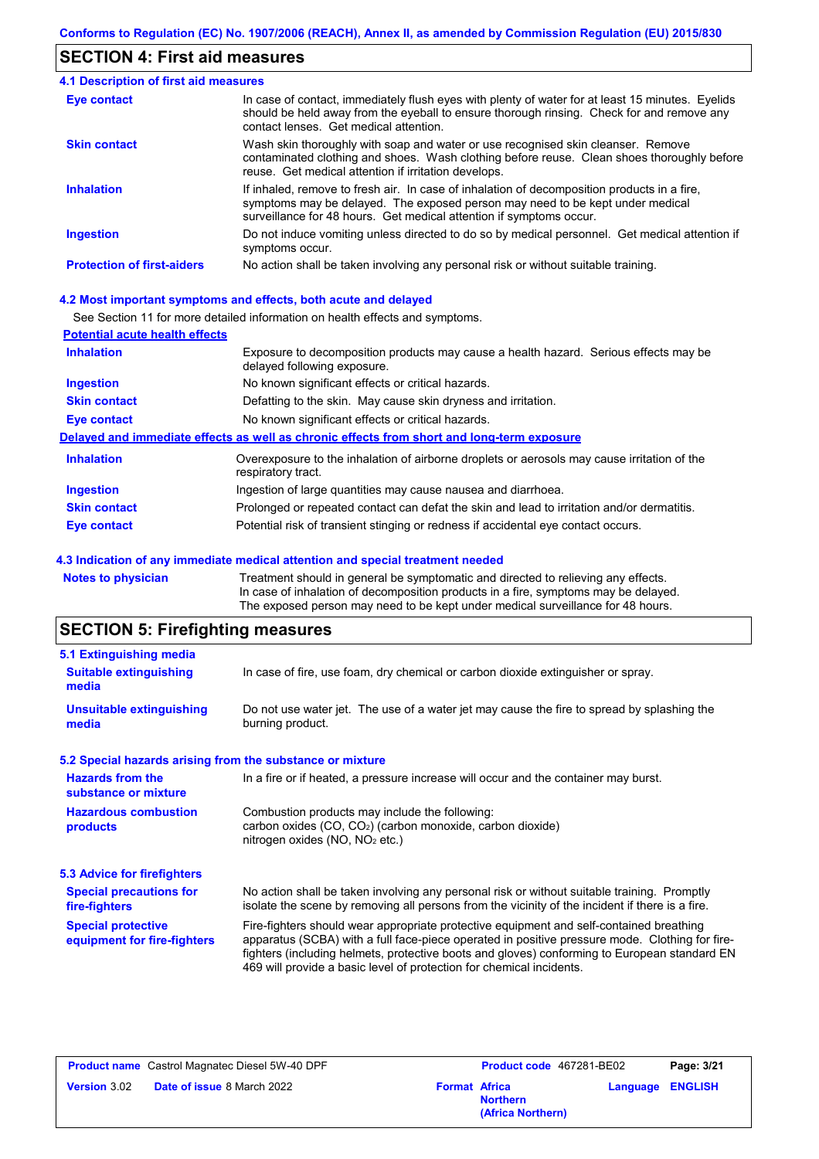### **SECTION 4: First aid measures**

| 4.1 Description of first aid measures |                                                                                                                                                                                                                                                     |
|---------------------------------------|-----------------------------------------------------------------------------------------------------------------------------------------------------------------------------------------------------------------------------------------------------|
| Eye contact                           | In case of contact, immediately flush eyes with plenty of water for at least 15 minutes. Eyelids<br>should be held away from the eyeball to ensure thorough rinsing. Check for and remove any<br>contact lenses. Get medical attention.             |
| <b>Skin contact</b>                   | Wash skin thoroughly with soap and water or use recognised skin cleanser. Remove<br>contaminated clothing and shoes. Wash clothing before reuse. Clean shoes thoroughly before<br>reuse. Get medical attention if irritation develops.              |
| <b>Inhalation</b>                     | If inhaled, remove to fresh air. In case of inhalation of decomposition products in a fire,<br>symptoms may be delayed. The exposed person may need to be kept under medical<br>surveillance for 48 hours. Get medical attention if symptoms occur. |
| <b>Ingestion</b>                      | Do not induce vomiting unless directed to do so by medical personnel. Get medical attention if<br>symptoms occur.                                                                                                                                   |
| <b>Protection of first-aiders</b>     | No action shall be taken involving any personal risk or without suitable training.                                                                                                                                                                  |

#### **4.2 Most important symptoms and effects, both acute and delayed**

See Section 11 for more detailed information on health effects and symptoms.

| <b>Potential acute health effects</b> |                                                                                                                     |
|---------------------------------------|---------------------------------------------------------------------------------------------------------------------|
| <b>Inhalation</b>                     | Exposure to decomposition products may cause a health hazard. Serious effects may be<br>delayed following exposure. |
| <b>Ingestion</b>                      | No known significant effects or critical hazards.                                                                   |
| <b>Skin contact</b>                   | Defatting to the skin. May cause skin dryness and irritation.                                                       |
| <b>Eye contact</b>                    | No known significant effects or critical hazards.                                                                   |
|                                       | Delayed and immediate effects as well as chronic effects from short and long-term exposure                          |
| <b>Inhalation</b>                     | Overexposure to the inhalation of airborne droplets or aerosols may cause irritation of the<br>respiratory tract.   |
| <b>Ingestion</b>                      | Ingestion of large quantities may cause nausea and diarrhoea.                                                       |
| <b>Skin contact</b>                   | Prolonged or repeated contact can defat the skin and lead to irritation and/or dermatitis.                          |
| Eye contact                           | Potential risk of transient stinging or redness if accidental eye contact occurs.                                   |
|                                       |                                                                                                                     |

#### **4.3 Indication of any immediate medical attention and special treatment needed**

**Notes to physician** Treatment should in general be symptomatic and directed to relieving any effects. In case of inhalation of decomposition products in a fire, symptoms may be delayed. The exposed person may need to be kept under medical surveillance for 48 hours.

# **SECTION 5: Firefighting measures**

| 5.1 Extinguishing media                                                                                                                                                                          |                                                                                                                                                                                                                                                                                                                                                                   |  |
|--------------------------------------------------------------------------------------------------------------------------------------------------------------------------------------------------|-------------------------------------------------------------------------------------------------------------------------------------------------------------------------------------------------------------------------------------------------------------------------------------------------------------------------------------------------------------------|--|
| <b>Suitable extinguishing</b><br>media                                                                                                                                                           | In case of fire, use foam, dry chemical or carbon dioxide extinguisher or spray.                                                                                                                                                                                                                                                                                  |  |
| <b>Unsuitable extinguishing</b><br>media                                                                                                                                                         | Do not use water jet. The use of a water jet may cause the fire to spread by splashing the<br>burning product.                                                                                                                                                                                                                                                    |  |
|                                                                                                                                                                                                  | 5.2 Special hazards arising from the substance or mixture                                                                                                                                                                                                                                                                                                         |  |
| <b>Hazards from the</b><br>In a fire or if heated, a pressure increase will occur and the container may burst.<br>substance or mixture                                                           |                                                                                                                                                                                                                                                                                                                                                                   |  |
| <b>Hazardous combustion</b><br>Combustion products may include the following:<br>carbon oxides $(CO, CO2)$ (carbon monoxide, carbon dioxide)<br>products<br>nitrogen oxides ( $NO$ , $NO2$ etc.) |                                                                                                                                                                                                                                                                                                                                                                   |  |
| 5.3 Advice for firefighters                                                                                                                                                                      |                                                                                                                                                                                                                                                                                                                                                                   |  |
| <b>Special precautions for</b><br>fire-fighters                                                                                                                                                  | No action shall be taken involving any personal risk or without suitable training. Promptly<br>isolate the scene by removing all persons from the vicinity of the incident if there is a fire.                                                                                                                                                                    |  |
| <b>Special protective</b><br>equipment for fire-fighters                                                                                                                                         | Fire-fighters should wear appropriate protective equipment and self-contained breathing<br>apparatus (SCBA) with a full face-piece operated in positive pressure mode. Clothing for fire-<br>fighters (including helmets, protective boots and gloves) conforming to European standard EN<br>469 will provide a basic level of protection for chemical incidents. |  |

|                  | <b>Product name</b> Castrol Magnatec Diesel 5W-40 DPF |                      |                                      | <b>Product code</b> 467281-BE02 | Page: 3/21 |
|------------------|-------------------------------------------------------|----------------------|--------------------------------------|---------------------------------|------------|
| Version $3.02\,$ | <b>Date of issue 8 March 2022</b>                     | <b>Format Africa</b> | <b>Northern</b><br>(Africa Northern) | <b>Language ENGLISH</b>         |            |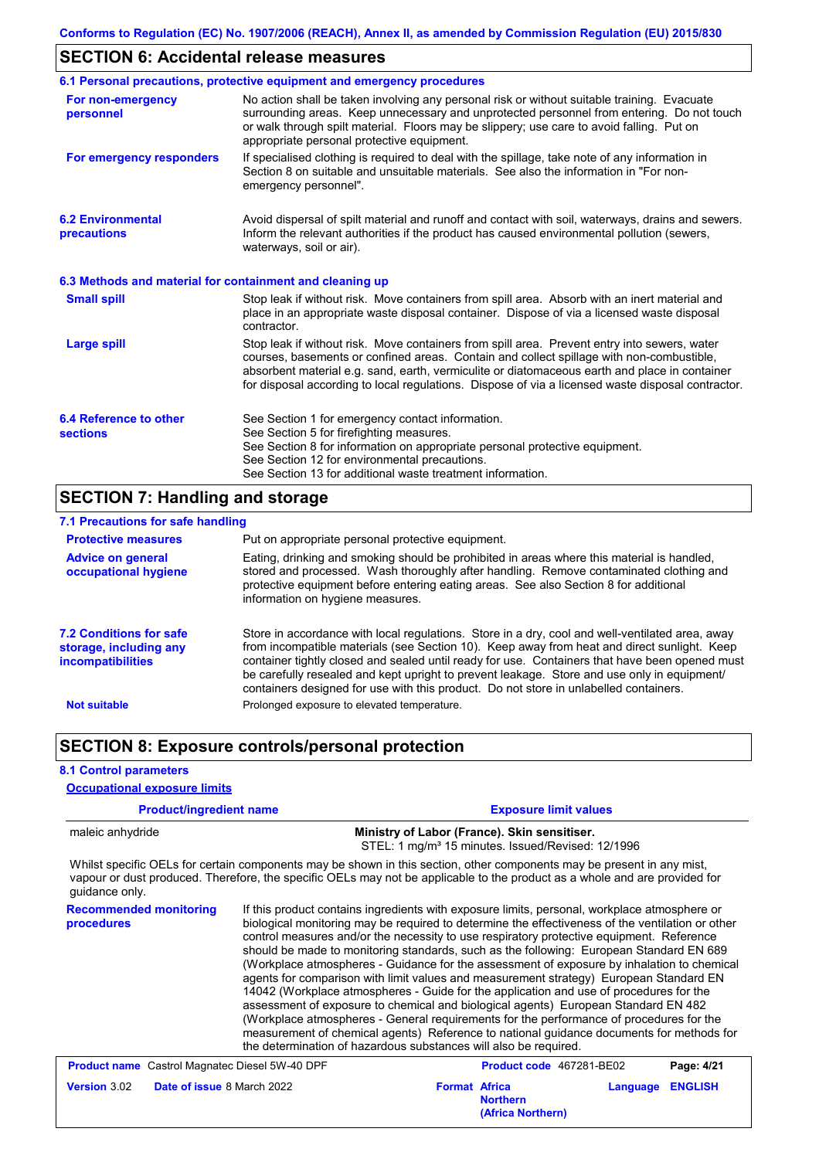### **SECTION 6: Accidental release measures**

|                                                          | 6.1 Personal precautions, protective equipment and emergency procedures                                                                                                                                                                                                                                                                                                                        |  |
|----------------------------------------------------------|------------------------------------------------------------------------------------------------------------------------------------------------------------------------------------------------------------------------------------------------------------------------------------------------------------------------------------------------------------------------------------------------|--|
| For non-emergency<br>personnel                           | No action shall be taken involving any personal risk or without suitable training. Evacuate<br>surrounding areas. Keep unnecessary and unprotected personnel from entering. Do not touch<br>or walk through spilt material. Floors may be slippery; use care to avoid falling. Put on<br>appropriate personal protective equipment.                                                            |  |
| For emergency responders                                 | If specialised clothing is required to deal with the spillage, take note of any information in<br>Section 8 on suitable and unsuitable materials. See also the information in "For non-<br>emergency personnel".                                                                                                                                                                               |  |
| <b>6.2 Environmental</b><br>precautions                  | Avoid dispersal of spilt material and runoff and contact with soil, waterways, drains and sewers.<br>Inform the relevant authorities if the product has caused environmental pollution (sewers,<br>waterways, soil or air).                                                                                                                                                                    |  |
| 6.3 Methods and material for containment and cleaning up |                                                                                                                                                                                                                                                                                                                                                                                                |  |
| <b>Small spill</b>                                       | Stop leak if without risk. Move containers from spill area. Absorb with an inert material and<br>place in an appropriate waste disposal container. Dispose of via a licensed waste disposal<br>contractor.                                                                                                                                                                                     |  |
| <b>Large spill</b>                                       | Stop leak if without risk. Move containers from spill area. Prevent entry into sewers, water<br>courses, basements or confined areas. Contain and collect spillage with non-combustible,<br>absorbent material e.g. sand, earth, vermiculite or diatomaceous earth and place in container<br>for disposal according to local regulations. Dispose of via a licensed waste disposal contractor. |  |
| 6.4 Reference to other<br><b>sections</b>                | See Section 1 for emergency contact information.<br>See Section 5 for firefighting measures.<br>See Section 8 for information on appropriate personal protective equipment.<br>See Section 12 for environmental precautions.<br>See Section 13 for additional waste treatment information.                                                                                                     |  |

# **SECTION 7: Handling and storage**

| 7.1 Precautions for safe handling                                                    |                                                                                                                                                                                                                                                                                                                                                                                                                                                                                          |
|--------------------------------------------------------------------------------------|------------------------------------------------------------------------------------------------------------------------------------------------------------------------------------------------------------------------------------------------------------------------------------------------------------------------------------------------------------------------------------------------------------------------------------------------------------------------------------------|
| <b>Protective measures</b>                                                           | Put on appropriate personal protective equipment.                                                                                                                                                                                                                                                                                                                                                                                                                                        |
| <b>Advice on general</b><br>occupational hygiene                                     | Eating, drinking and smoking should be prohibited in areas where this material is handled,<br>stored and processed. Wash thoroughly after handling. Remove contaminated clothing and<br>protective equipment before entering eating areas. See also Section 8 for additional<br>information on hygiene measures.                                                                                                                                                                         |
| <b>7.2 Conditions for safe</b><br>storage, including any<br><i>incompatibilities</i> | Store in accordance with local regulations. Store in a dry, cool and well-ventilated area, away<br>from incompatible materials (see Section 10). Keep away from heat and direct sunlight. Keep<br>container tightly closed and sealed until ready for use. Containers that have been opened must<br>be carefully resealed and kept upright to prevent leakage. Store and use only in equipment/<br>containers designed for use with this product. Do not store in unlabelled containers. |
| <b>Not suitable</b>                                                                  | Prolonged exposure to elevated temperature.                                                                                                                                                                                                                                                                                                                                                                                                                                              |

### **SECTION 8: Exposure controls/personal protection**

### **8.1 Control parameters**

**Product/ingredient name Exposure limit values Occupational exposure limits**

|                                                          |                                                                                                                                                                                                                                                                                                                                                                                                                                                                                                                                                                                                                                                                                                                                                                                                                                                                                                                                                                                                                            |                                                                                                               | $-$                                  |          |                |  |  |
|----------------------------------------------------------|----------------------------------------------------------------------------------------------------------------------------------------------------------------------------------------------------------------------------------------------------------------------------------------------------------------------------------------------------------------------------------------------------------------------------------------------------------------------------------------------------------------------------------------------------------------------------------------------------------------------------------------------------------------------------------------------------------------------------------------------------------------------------------------------------------------------------------------------------------------------------------------------------------------------------------------------------------------------------------------------------------------------------|---------------------------------------------------------------------------------------------------------------|--------------------------------------|----------|----------------|--|--|
| maleic anhydride                                         |                                                                                                                                                                                                                                                                                                                                                                                                                                                                                                                                                                                                                                                                                                                                                                                                                                                                                                                                                                                                                            | Ministry of Labor (France). Skin sensitiser.<br>STEL: 1 mg/m <sup>3</sup> 15 minutes. Issued/Revised: 12/1996 |                                      |          |                |  |  |
| guidance only.                                           | Whilst specific OELs for certain components may be shown in this section, other components may be present in any mist,<br>vapour or dust produced. Therefore, the specific OELs may not be applicable to the product as a whole and are provided for                                                                                                                                                                                                                                                                                                                                                                                                                                                                                                                                                                                                                                                                                                                                                                       |                                                                                                               |                                      |          |                |  |  |
| <b>Recommended monitoring</b><br>procedures              | If this product contains ingredients with exposure limits, personal, workplace atmosphere or<br>biological monitoring may be required to determine the effectiveness of the ventilation or other<br>control measures and/or the necessity to use respiratory protective equipment. Reference<br>should be made to monitoring standards, such as the following: European Standard EN 689<br>(Workplace atmospheres - Guidance for the assessment of exposure by inhalation to chemical<br>agents for comparison with limit values and measurement strategy) European Standard EN<br>14042 (Workplace atmospheres - Guide for the application and use of procedures for the<br>assessment of exposure to chemical and biological agents) European Standard EN 482<br>(Workplace atmospheres - General requirements for the performance of procedures for the<br>measurement of chemical agents) Reference to national guidance documents for methods for<br>the determination of hazardous substances will also be required. |                                                                                                               |                                      |          |                |  |  |
| <b>Product name</b> Castrol Magnatec Diesel 5W-40 DPF    |                                                                                                                                                                                                                                                                                                                                                                                                                                                                                                                                                                                                                                                                                                                                                                                                                                                                                                                                                                                                                            |                                                                                                               | Product code 467281-BE02             |          | Page: 4/21     |  |  |
| <b>Version 3.02</b><br><b>Date of issue 8 March 2022</b> |                                                                                                                                                                                                                                                                                                                                                                                                                                                                                                                                                                                                                                                                                                                                                                                                                                                                                                                                                                                                                            | <b>Format Africa</b>                                                                                          | <b>Northern</b><br>(Africa Northern) | Language | <b>ENGLISH</b> |  |  |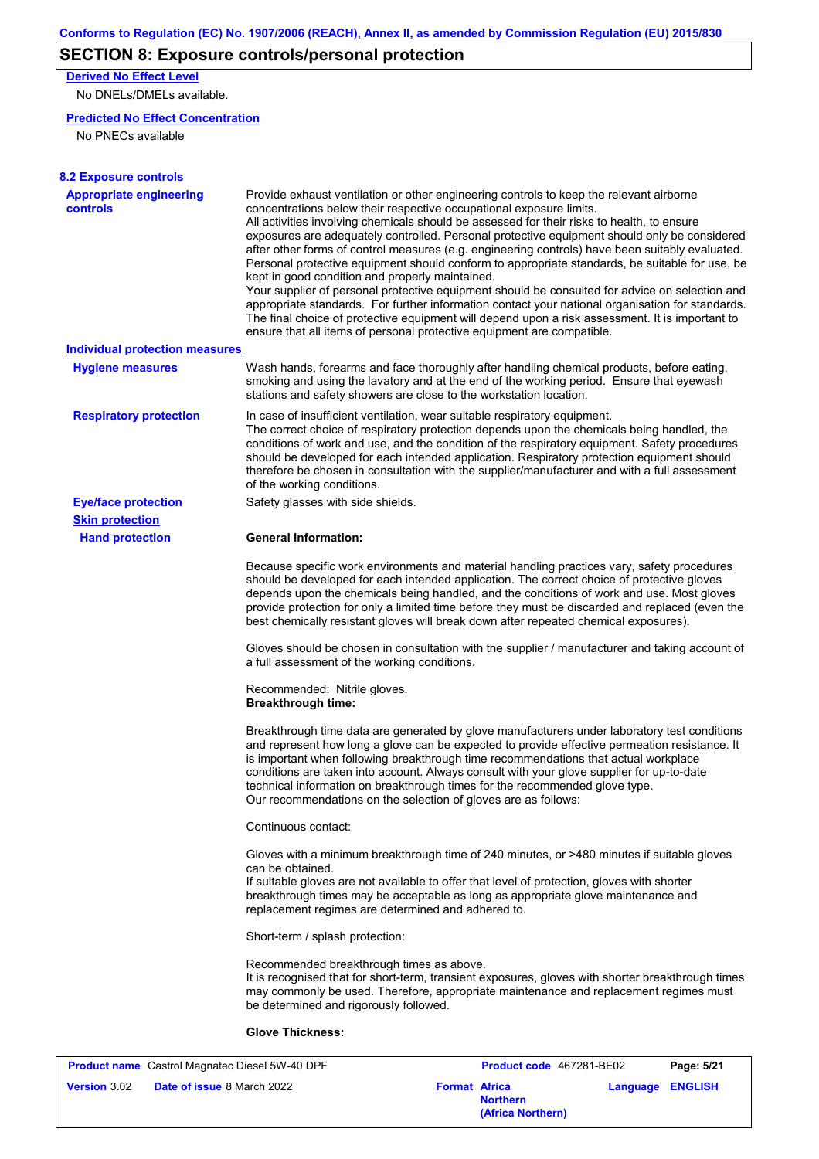# **SECTION 8: Exposure controls/personal protection**

**Derived No Effect Level**

No DNELs/DMELs available.

### **Predicted No Effect Concentration**

No PNECs available

| <b>8.2 Exposure controls</b>                          |                                                                                                                                                                                                                                                                                                                                                                                                                                                                                                                                                                                                                                                                                                                                                                                                                                                                                                                                                                                                         |               |
|-------------------------------------------------------|---------------------------------------------------------------------------------------------------------------------------------------------------------------------------------------------------------------------------------------------------------------------------------------------------------------------------------------------------------------------------------------------------------------------------------------------------------------------------------------------------------------------------------------------------------------------------------------------------------------------------------------------------------------------------------------------------------------------------------------------------------------------------------------------------------------------------------------------------------------------------------------------------------------------------------------------------------------------------------------------------------|---------------|
| <b>Appropriate engineering</b><br>controls            | Provide exhaust ventilation or other engineering controls to keep the relevant airborne<br>concentrations below their respective occupational exposure limits.<br>All activities involving chemicals should be assessed for their risks to health, to ensure<br>exposures are adequately controlled. Personal protective equipment should only be considered<br>after other forms of control measures (e.g. engineering controls) have been suitably evaluated.<br>Personal protective equipment should conform to appropriate standards, be suitable for use, be<br>kept in good condition and properly maintained.<br>Your supplier of personal protective equipment should be consulted for advice on selection and<br>appropriate standards. For further information contact your national organisation for standards.<br>The final choice of protective equipment will depend upon a risk assessment. It is important to<br>ensure that all items of personal protective equipment are compatible. |               |
| <b>Individual protection measures</b>                 |                                                                                                                                                                                                                                                                                                                                                                                                                                                                                                                                                                                                                                                                                                                                                                                                                                                                                                                                                                                                         |               |
| <b>Hygiene measures</b>                               | Wash hands, forearms and face thoroughly after handling chemical products, before eating,<br>smoking and using the lavatory and at the end of the working period. Ensure that eyewash<br>stations and safety showers are close to the workstation location.                                                                                                                                                                                                                                                                                                                                                                                                                                                                                                                                                                                                                                                                                                                                             |               |
| <b>Respiratory protection</b>                         | In case of insufficient ventilation, wear suitable respiratory equipment.<br>The correct choice of respiratory protection depends upon the chemicals being handled, the<br>conditions of work and use, and the condition of the respiratory equipment. Safety procedures<br>should be developed for each intended application. Respiratory protection equipment should<br>therefore be chosen in consultation with the supplier/manufacturer and with a full assessment<br>of the working conditions.                                                                                                                                                                                                                                                                                                                                                                                                                                                                                                   |               |
| <b>Eye/face protection</b>                            | Safety glasses with side shields.                                                                                                                                                                                                                                                                                                                                                                                                                                                                                                                                                                                                                                                                                                                                                                                                                                                                                                                                                                       |               |
| <b>Skin protection</b>                                |                                                                                                                                                                                                                                                                                                                                                                                                                                                                                                                                                                                                                                                                                                                                                                                                                                                                                                                                                                                                         |               |
| <b>Hand protection</b>                                | <b>General Information:</b>                                                                                                                                                                                                                                                                                                                                                                                                                                                                                                                                                                                                                                                                                                                                                                                                                                                                                                                                                                             |               |
|                                                       | Because specific work environments and material handling practices vary, safety procedures<br>should be developed for each intended application. The correct choice of protective gloves<br>depends upon the chemicals being handled, and the conditions of work and use. Most gloves<br>provide protection for only a limited time before they must be discarded and replaced (even the<br>best chemically resistant gloves will break down after repeated chemical exposures).                                                                                                                                                                                                                                                                                                                                                                                                                                                                                                                        |               |
|                                                       | Gloves should be chosen in consultation with the supplier / manufacturer and taking account of<br>a full assessment of the working conditions.                                                                                                                                                                                                                                                                                                                                                                                                                                                                                                                                                                                                                                                                                                                                                                                                                                                          |               |
|                                                       | Recommended: Nitrile gloves.<br><b>Breakthrough time:</b>                                                                                                                                                                                                                                                                                                                                                                                                                                                                                                                                                                                                                                                                                                                                                                                                                                                                                                                                               |               |
|                                                       | Breakthrough time data are generated by glove manufacturers under laboratory test conditions<br>and represent how long a glove can be expected to provide effective permeation resistance. It<br>is important when following breakthrough time recommendations that actual workplace<br>conditions are taken into account. Always consult with your glove supplier for up-to-date<br>technical information on breakthrough times for the recommended glove type.<br>Our recommendations on the selection of gloves are as follows:                                                                                                                                                                                                                                                                                                                                                                                                                                                                      |               |
|                                                       | Continuous contact:                                                                                                                                                                                                                                                                                                                                                                                                                                                                                                                                                                                                                                                                                                                                                                                                                                                                                                                                                                                     |               |
|                                                       | Gloves with a minimum breakthrough time of 240 minutes, or >480 minutes if suitable gloves<br>can be obtained.<br>If suitable gloves are not available to offer that level of protection, gloves with shorter<br>breakthrough times may be acceptable as long as appropriate glove maintenance and<br>replacement regimes are determined and adhered to.                                                                                                                                                                                                                                                                                                                                                                                                                                                                                                                                                                                                                                                |               |
|                                                       | Short-term / splash protection:                                                                                                                                                                                                                                                                                                                                                                                                                                                                                                                                                                                                                                                                                                                                                                                                                                                                                                                                                                         |               |
|                                                       | Recommended breakthrough times as above.<br>It is recognised that for short-term, transient exposures, gloves with shorter breakthrough times<br>may commonly be used. Therefore, appropriate maintenance and replacement regimes must<br>be determined and rigorously followed.                                                                                                                                                                                                                                                                                                                                                                                                                                                                                                                                                                                                                                                                                                                        |               |
|                                                       | <b>Glove Thickness:</b>                                                                                                                                                                                                                                                                                                                                                                                                                                                                                                                                                                                                                                                                                                                                                                                                                                                                                                                                                                                 |               |
| <b>Product name</b> Castrol Magnatec Diesel 5W-40 DPF | <b>Product code</b> 467281-RE02                                                                                                                                                                                                                                                                                                                                                                                                                                                                                                                                                                                                                                                                                                                                                                                                                                                                                                                                                                         | $P$ ane: 5/21 |

| <b>Product name</b> Castrol Magnatec Diesel 5W-40 DPF    |                                                              | Product code 467281-BE02 | Page: 5/21              |
|----------------------------------------------------------|--------------------------------------------------------------|--------------------------|-------------------------|
| <b>Version</b> 3.02<br><b>Date of issue 8 March 2022</b> | <b>Format Africa</b><br><b>Northern</b><br>(Africa Northern) |                          | <b>Language ENGLISH</b> |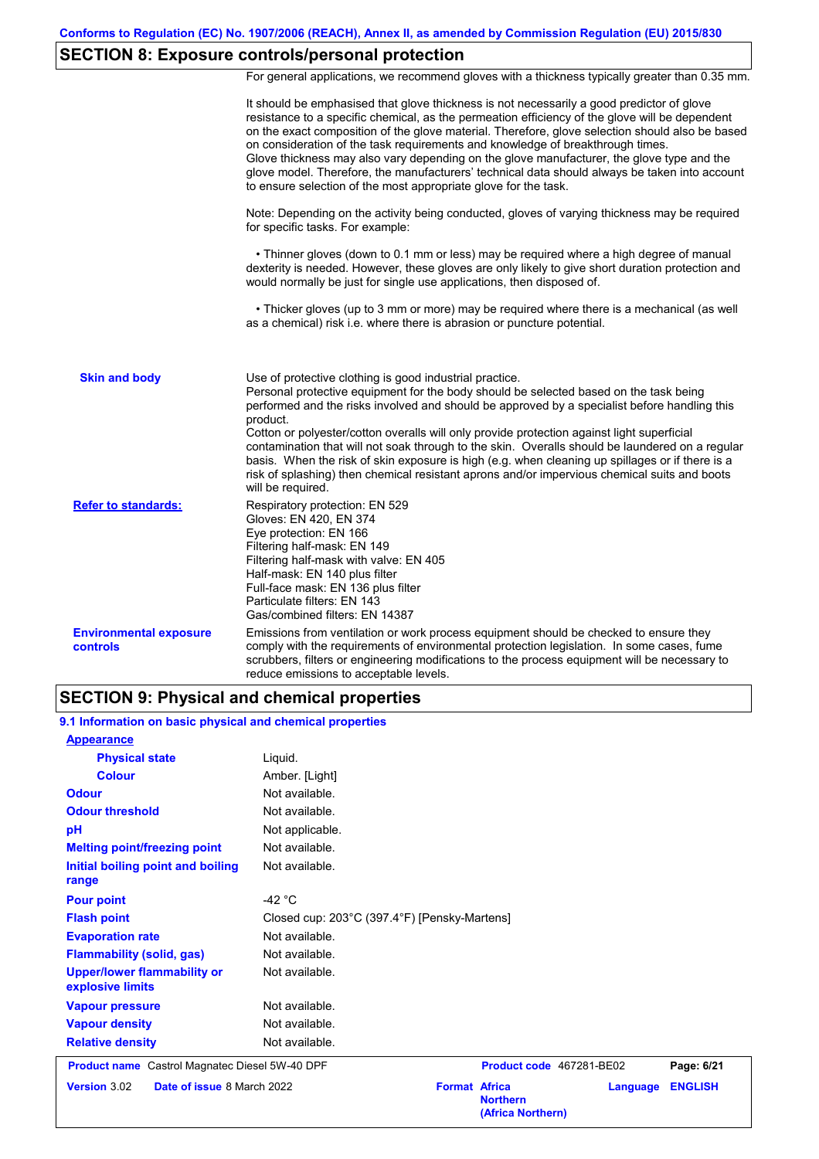# **SECTION 8: Exposure controls/personal protection**

For general applications, we recommend gloves with a thickness typically greater than 0.35 mm.

|                                           | <b>SECTION 9: Physical and chemical properties</b>                                                                                                                                                                                                                                                                                                                                                                                                                                                                                                                                                                                                                                    |
|-------------------------------------------|---------------------------------------------------------------------------------------------------------------------------------------------------------------------------------------------------------------------------------------------------------------------------------------------------------------------------------------------------------------------------------------------------------------------------------------------------------------------------------------------------------------------------------------------------------------------------------------------------------------------------------------------------------------------------------------|
| <b>Environmental exposure</b><br>controls | Emissions from ventilation or work process equipment should be checked to ensure they<br>comply with the requirements of environmental protection legislation. In some cases, fume<br>scrubbers, filters or engineering modifications to the process equipment will be necessary to<br>reduce emissions to acceptable levels.                                                                                                                                                                                                                                                                                                                                                         |
| <b>Refer to standards:</b>                | Respiratory protection: EN 529<br>Gloves: EN 420, EN 374<br>Eye protection: EN 166<br>Filtering half-mask: EN 149<br>Filtering half-mask with valve: EN 405<br>Half-mask: EN 140 plus filter<br>Full-face mask: EN 136 plus filter<br>Particulate filters: EN 143<br>Gas/combined filters: EN 14387                                                                                                                                                                                                                                                                                                                                                                                   |
| <b>Skin and body</b>                      | Use of protective clothing is good industrial practice.<br>Personal protective equipment for the body should be selected based on the task being<br>performed and the risks involved and should be approved by a specialist before handling this<br>product.<br>Cotton or polyester/cotton overalls will only provide protection against light superficial<br>contamination that will not soak through to the skin. Overalls should be laundered on a regular<br>basis. When the risk of skin exposure is high (e.g. when cleaning up spillages or if there is a<br>risk of splashing) then chemical resistant aprons and/or impervious chemical suits and boots<br>will be required. |
|                                           | dexterity is needed. However, these gloves are only likely to give short duration protection and<br>would normally be just for single use applications, then disposed of.<br>• Thicker gloves (up to 3 mm or more) may be required where there is a mechanical (as well<br>as a chemical) risk i.e. where there is abrasion or puncture potential.                                                                                                                                                                                                                                                                                                                                    |
|                                           | Note: Depending on the activity being conducted, gloves of varying thickness may be required<br>for specific tasks. For example:<br>• Thinner gloves (down to 0.1 mm or less) may be required where a high degree of manual                                                                                                                                                                                                                                                                                                                                                                                                                                                           |
|                                           | It should be emphasised that glove thickness is not necessarily a good predictor of glove<br>resistance to a specific chemical, as the permeation efficiency of the glove will be dependent<br>on the exact composition of the glove material. Therefore, glove selection should also be based<br>on consideration of the task requirements and knowledge of breakthrough times.<br>Glove thickness may also vary depending on the glove manufacturer, the glove type and the<br>glove model. Therefore, the manufacturers' technical data should always be taken into account<br>to ensure selection of the most appropriate glove for the task.                                     |

### **9.1 Information on basic physical and chemical properties**

| <b>Appearance</b>                                      |                                              |                                                              |          |                |
|--------------------------------------------------------|----------------------------------------------|--------------------------------------------------------------|----------|----------------|
| <b>Physical state</b>                                  | Liquid.                                      |                                                              |          |                |
| <b>Colour</b>                                          | Amber. [Light]                               |                                                              |          |                |
| <b>Odour</b>                                           | Not available.                               |                                                              |          |                |
| <b>Odour threshold</b>                                 | Not available.                               |                                                              |          |                |
| pH                                                     | Not applicable.                              |                                                              |          |                |
| <b>Melting point/freezing point</b>                    | Not available.                               |                                                              |          |                |
| Initial boiling point and boiling<br>range             | Not available.                               |                                                              |          |                |
| <b>Pour point</b>                                      | -42 $\degree$ C                              |                                                              |          |                |
| <b>Flash point</b>                                     | Closed cup: 203°C (397.4°F) [Pensky-Martens] |                                                              |          |                |
| <b>Evaporation rate</b>                                | Not available.                               |                                                              |          |                |
| <b>Flammability (solid, gas)</b>                       | Not available.                               |                                                              |          |                |
| <b>Upper/lower flammability or</b><br>explosive limits | Not available.                               |                                                              |          |                |
| <b>Vapour pressure</b>                                 | Not available.                               |                                                              |          |                |
| <b>Vapour density</b>                                  | Not available.                               |                                                              |          |                |
| <b>Relative density</b>                                | Not available.                               |                                                              |          |                |
| <b>Product name</b> Castrol Magnatec Diesel 5W-40 DPF  |                                              | Product code 467281-BE02                                     |          | Page: 6/21     |
| <b>Version 3.02</b><br>Date of issue 8 March 2022      |                                              | <b>Format Africa</b><br><b>Northern</b><br>(Africa Northern) | Language | <b>ENGLISH</b> |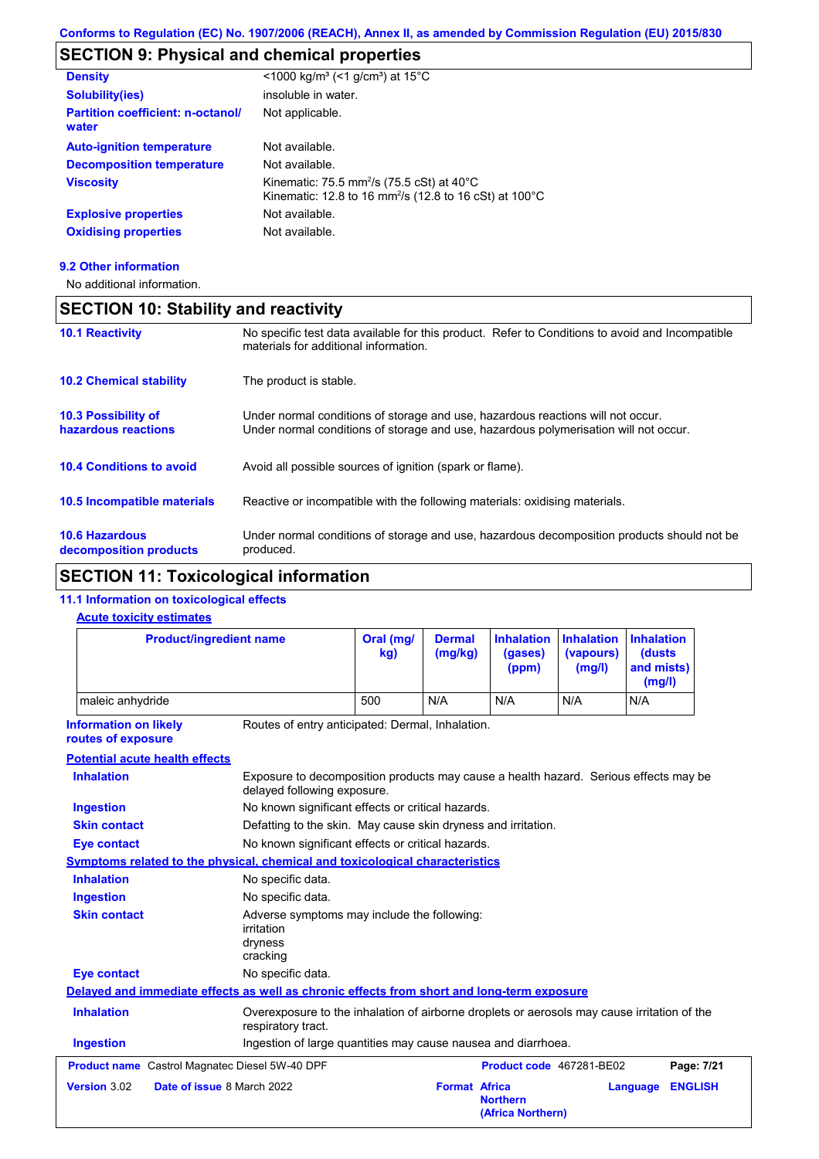# **SECTION 9: Physical and chemical properties**

| <b>Density</b>                                    | <1000 kg/m <sup>3</sup> (<1 g/cm <sup>3</sup> ) at 15°C                                                                                          |
|---------------------------------------------------|--------------------------------------------------------------------------------------------------------------------------------------------------|
| <b>Solubility(ies)</b>                            | insoluble in water.                                                                                                                              |
| <b>Partition coefficient: n-octanol/</b><br>water | Not applicable.                                                                                                                                  |
| <b>Auto-ignition temperature</b>                  | Not available.                                                                                                                                   |
| <b>Decomposition temperature</b>                  | Not available.                                                                                                                                   |
| <b>Viscosity</b>                                  | Kinematic: 75.5 mm <sup>2</sup> /s (75.5 cSt) at $40^{\circ}$ C<br>Kinematic: 12.8 to 16 mm <sup>2</sup> /s (12.8 to 16 cSt) at 100 $^{\circ}$ C |
| <b>Explosive properties</b>                       | Not available.                                                                                                                                   |
| <b>Oxidising properties</b>                       | Not available.                                                                                                                                   |
|                                                   |                                                                                                                                                  |

#### **9.2 Other information**

No additional information.

### **SECTION 10: Stability and reactivity**

| <b>10.1 Reactivity</b>                            | No specific test data available for this product. Refer to Conditions to avoid and Incompatible<br>materials for additional information.                                |
|---------------------------------------------------|-------------------------------------------------------------------------------------------------------------------------------------------------------------------------|
| <b>10.2 Chemical stability</b>                    | The product is stable.                                                                                                                                                  |
| <b>10.3 Possibility of</b><br>hazardous reactions | Under normal conditions of storage and use, hazardous reactions will not occur.<br>Under normal conditions of storage and use, hazardous polymerisation will not occur. |
| <b>10.4 Conditions to avoid</b>                   | Avoid all possible sources of ignition (spark or flame).                                                                                                                |
| 10.5 Incompatible materials                       | Reactive or incompatible with the following materials: oxidising materials.                                                                                             |
| <b>10.6 Hazardous</b><br>decomposition products   | Under normal conditions of storage and use, hazardous decomposition products should not be<br>produced.                                                                 |

# **SECTION 11: Toxicological information**

### **11.1 Information on toxicological effects**

### **Acute toxicity estimates**

| <b>Product/ingredient name</b>                        |                                                                                                                     | Oral (mg/<br>kg)                                                                            | <b>Dermal</b><br>(mg/kg) | <b>Inhalation</b><br>(gases)<br>(ppm) | <b>Inhalation</b><br>(vapours)<br>(mg/l) |                            |
|-------------------------------------------------------|---------------------------------------------------------------------------------------------------------------------|---------------------------------------------------------------------------------------------|--------------------------|---------------------------------------|------------------------------------------|----------------------------|
| maleic anhydride                                      |                                                                                                                     | 500                                                                                         | N/A                      | N/A                                   | N/A                                      | N/A                        |
| <b>Information on likely</b><br>routes of exposure    | Routes of entry anticipated: Dermal, Inhalation.                                                                    |                                                                                             |                          |                                       |                                          |                            |
| <b>Potential acute health effects</b>                 |                                                                                                                     |                                                                                             |                          |                                       |                                          |                            |
| <b>Inhalation</b>                                     | Exposure to decomposition products may cause a health hazard. Serious effects may be<br>delayed following exposure. |                                                                                             |                          |                                       |                                          |                            |
| <b>Ingestion</b>                                      | No known significant effects or critical hazards.                                                                   |                                                                                             |                          |                                       |                                          |                            |
| <b>Skin contact</b>                                   | Defatting to the skin. May cause skin dryness and irritation.                                                       |                                                                                             |                          |                                       |                                          |                            |
| <b>Eye contact</b>                                    | No known significant effects or critical hazards.                                                                   |                                                                                             |                          |                                       |                                          |                            |
|                                                       | Symptoms related to the physical, chemical and toxicological characteristics                                        |                                                                                             |                          |                                       |                                          |                            |
| <b>Inhalation</b>                                     | No specific data.                                                                                                   |                                                                                             |                          |                                       |                                          |                            |
| <b>Ingestion</b>                                      | No specific data.                                                                                                   |                                                                                             |                          |                                       |                                          |                            |
| <b>Skin contact</b>                                   | irritation<br>dryness<br>cracking                                                                                   | Adverse symptoms may include the following:                                                 |                          |                                       |                                          |                            |
| <b>Eye contact</b>                                    | No specific data.                                                                                                   |                                                                                             |                          |                                       |                                          |                            |
|                                                       | Delayed and immediate effects as well as chronic effects from short and long-term exposure                          |                                                                                             |                          |                                       |                                          |                            |
| <b>Inhalation</b>                                     | respiratory tract.                                                                                                  | Overexposure to the inhalation of airborne droplets or aerosols may cause irritation of the |                          |                                       |                                          |                            |
| <b>Ingestion</b>                                      | Ingestion of large quantities may cause nausea and diarrhoea.                                                       |                                                                                             |                          |                                       |                                          |                            |
| <b>Product name</b> Castrol Magnatec Diesel 5W-40 DPF |                                                                                                                     |                                                                                             |                          | Product code 467281-BE02              |                                          | Page: 7/21                 |
| Version 3.02                                          | Date of issue 8 March 2022                                                                                          |                                                                                             | <b>Format Africa</b>     | <b>Northern</b><br>(Africa Northern)  |                                          | <b>ENGLISH</b><br>Language |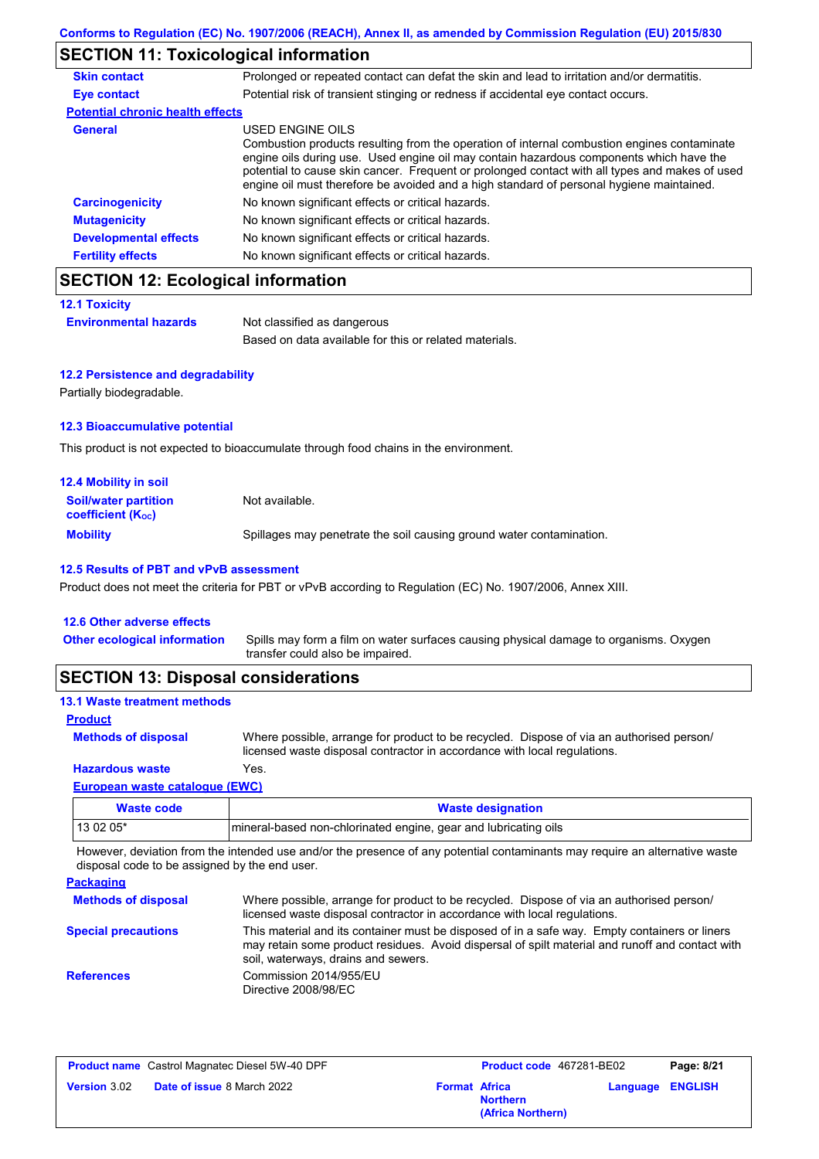## **SECTION 11: Toxicological information**

| Prolonged or repeated contact can defat the skin and lead to irritation and/or dermatitis.                                                                                                                                                                                                                                                                                                               |
|----------------------------------------------------------------------------------------------------------------------------------------------------------------------------------------------------------------------------------------------------------------------------------------------------------------------------------------------------------------------------------------------------------|
| Potential risk of transient stinging or redness if accidental eye contact occurs.                                                                                                                                                                                                                                                                                                                        |
| <b>Potential chronic health effects</b>                                                                                                                                                                                                                                                                                                                                                                  |
| USED ENGINE OILS<br>Combustion products resulting from the operation of internal combustion engines contaminate<br>engine oils during use. Used engine oil may contain hazardous components which have the<br>potential to cause skin cancer. Frequent or prolonged contact with all types and makes of used<br>engine oil must therefore be avoided and a high standard of personal hygiene maintained. |
| No known significant effects or critical hazards.                                                                                                                                                                                                                                                                                                                                                        |
| No known significant effects or critical hazards.                                                                                                                                                                                                                                                                                                                                                        |
| No known significant effects or critical hazards.                                                                                                                                                                                                                                                                                                                                                        |
| No known significant effects or critical hazards.                                                                                                                                                                                                                                                                                                                                                        |
|                                                                                                                                                                                                                                                                                                                                                                                                          |

### **SECTION 12: Ecological information**

```
12.1 Toxicity
```

| ---- <i>-</i> - ------       |                                                       |
|------------------------------|-------------------------------------------------------|
| <b>Environmental hazards</b> | Not classified as dangerous                           |
|                              | Based on data available for this or related materials |

#### **12.2 Persistence and degradability**

Partially biodegradable.

#### **12.3 Bioaccumulative potential**

This product is not expected to bioaccumulate through food chains in the environment.

| <b>12.4 Mobility in soil</b>                                  |                                                                      |
|---------------------------------------------------------------|----------------------------------------------------------------------|
| <b>Soil/water partition</b><br>coefficient (K <sub>oc</sub> ) | Not available.                                                       |
| <b>Mobility</b>                                               | Spillages may penetrate the soil causing ground water contamination. |

#### **12.5 Results of PBT and vPvB assessment**

Product does not meet the criteria for PBT or vPvB according to Regulation (EC) No. 1907/2006, Annex XIII.

#### **12.6 Other adverse effects** Spills may form a film on water surfaces causing physical damage to organisms. Oxygen transfer could also be impaired. **Other ecological information**

### **SECTION 13: Disposal considerations**

| <b>13.1 Waste treatment methods</b> |                                                                                                                                                                      |
|-------------------------------------|----------------------------------------------------------------------------------------------------------------------------------------------------------------------|
| <b>Product</b>                      |                                                                                                                                                                      |
| <b>Methods of disposal</b>          | Where possible, arrange for product to be recycled. Dispose of via an authorised person/<br>licensed waste disposal contractor in accordance with local regulations. |
| <b>Hazardous waste</b>              | Yes.                                                                                                                                                                 |
| European waste catalogue (EWC)      |                                                                                                                                                                      |
|                                     |                                                                                                                                                                      |

| Waste code | <b>Waste designation</b>                                        |
|------------|-----------------------------------------------------------------|
| $130205*$  | mineral-based non-chlorinated engine, gear and lubricating oils |

However, deviation from the intended use and/or the presence of any potential contaminants may require an alternative waste disposal code to be assigned by the end user.

#### **Packaging**

| <b>Methods of disposal</b> | Where possible, arrange for product to be recycled. Dispose of via an authorised person/<br>licensed waste disposal contractor in accordance with local regulations.                                                                    |
|----------------------------|-----------------------------------------------------------------------------------------------------------------------------------------------------------------------------------------------------------------------------------------|
| <b>Special precautions</b> | This material and its container must be disposed of in a safe way. Empty containers or liners<br>may retain some product residues. Avoid dispersal of spilt material and runoff and contact with<br>soil, waterways, drains and sewers. |
| <b>References</b>          | Commission 2014/955/EU<br>Directive 2008/98/EC                                                                                                                                                                                          |

|                     | <b>Product name</b> Castrol Magnatec Diesel 5W-40 DPF |                      | Product code 467281-BE02             |                         | Page: 8/21 |  |
|---------------------|-------------------------------------------------------|----------------------|--------------------------------------|-------------------------|------------|--|
| <b>Version 3.02</b> | <b>Date of issue 8 March 2022</b>                     | <b>Format Africa</b> | <b>Northern</b><br>(Africa Northern) | <b>Language ENGLISH</b> |            |  |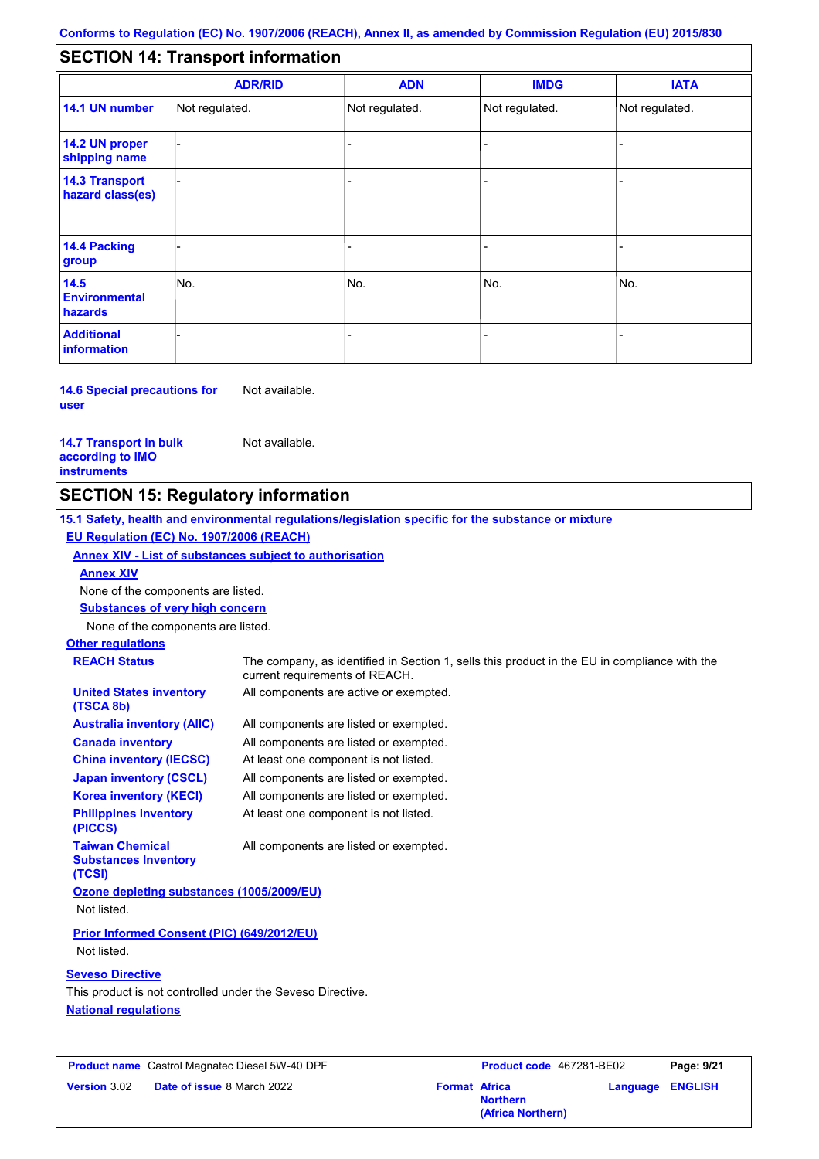#### - - - - - - - - - Not regulated. Not regulated. Not regulated. - - - **SECTION 14: Transport information ADR/RID IMDG IATA 14.1 UN number 14.2 UN proper shipping name 14.3 Transport hazard class(es) 14.4 Packing group ADN Additional information 14.5 Environmental hazards** No. 1980 | No. 1980 | No. 1980 | No. 1980 | No. 1980 | No. 1980 | No. 1980 | No. 1980 | No. 1980 | No. 1980 | Not regulated. - No. - -

#### **14.6 Special precautions for user** Not available.

#### **14.7 Transport in bulk according to IMO instruments**

Not available.

### **SECTION 15: Regulatory information**

**15.1 Safety, health and environmental regulations/legislation specific for the substance or mixture EU Regulation (EC) No. 1907/2006 (REACH)**

#### **Annex XIV - List of substances subject to authorisation**

**Annex XIV**

None of the components are listed.

**Substances of very high concern**

None of the components are listed.

### **Other regulations**

| <b>REACH Status</b>                                             | The company, as identified in Section 1, sells this product in the EU in compliance with the<br>current requirements of REACH. |
|-----------------------------------------------------------------|--------------------------------------------------------------------------------------------------------------------------------|
| <b>United States inventory</b><br>(TSCA 8b)                     | All components are active or exempted.                                                                                         |
| <b>Australia inventory (AIIC)</b>                               | All components are listed or exempted.                                                                                         |
| <b>Canada inventory</b>                                         | All components are listed or exempted.                                                                                         |
| <b>China inventory (IECSC)</b>                                  | At least one component is not listed.                                                                                          |
| <b>Japan inventory (CSCL)</b>                                   | All components are listed or exempted.                                                                                         |
| <b>Korea inventory (KECI)</b>                                   | All components are listed or exempted.                                                                                         |
| <b>Philippines inventory</b><br>(PICCS)                         | At least one component is not listed.                                                                                          |
| <b>Taiwan Chemical</b><br><b>Substances Inventory</b><br>(TCSI) | All components are listed or exempted.                                                                                         |
| Ozone depleting substances (1005/2009/EU)                       |                                                                                                                                |
| Not listed.                                                     |                                                                                                                                |
| Prior Informed Consent (PIC) (649/2012/EU)                      |                                                                                                                                |

Not listed.

#### **Seveso Directive**

**National regulations** This product is not controlled under the Seveso Directive.

|                     | <b>Product name</b> Castrol Magnatec Diesel 5W-40 DPF |      |
|---------------------|-------------------------------------------------------|------|
| <b>Version 3.02</b> | <b>Date of issue 8 March 2022</b>                     | Form |

| Castrol Magnatec Diesel 5W-40 DPF |                      | <b>Product code</b> 467281-BE02      |                         | Page: 9/21 |
|-----------------------------------|----------------------|--------------------------------------|-------------------------|------------|
| <b>Date of issue 8 March 2022</b> | <b>Format Africa</b> | <b>Northern</b><br>(Africa Northern) | <b>Language ENGLISH</b> |            |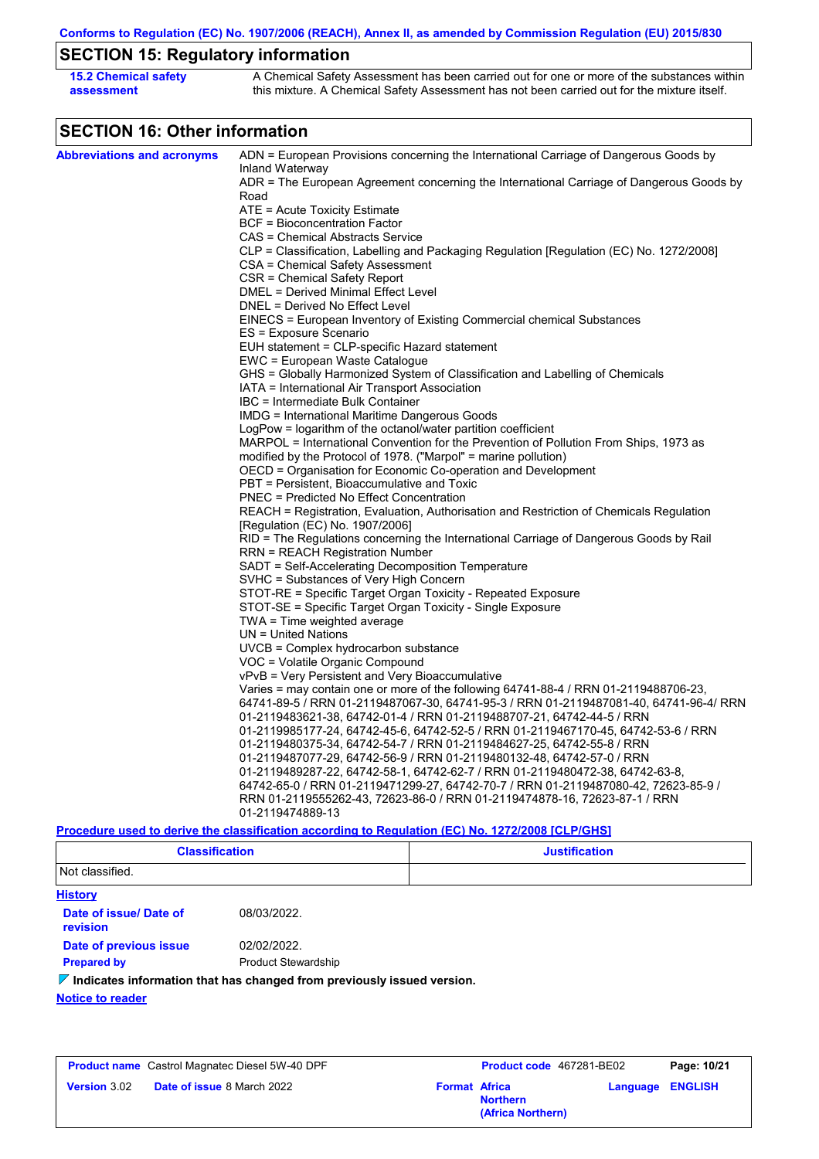**Conforms to Regulation (EC) No. 1907/2006 (REACH), Annex II, as amended by Commission Regulation (EU) 2015/830**

# **SECTION 15: Regulatory information**

| <b>15.2 Chemical safety</b> | A Chemical Safety Assessment has been carried out for one or more of the substances within  |
|-----------------------------|---------------------------------------------------------------------------------------------|
| assessment                  | this mixture. A Chemical Safety Assessment has not been carried out for the mixture itself. |

# **SECTION 16: Other information**

| <b>Abbreviations and acronyms</b> | ADN = European Provisions concerning the International Carriage of Dangerous Goods by                       |
|-----------------------------------|-------------------------------------------------------------------------------------------------------------|
|                                   | Inland Waterway<br>ADR = The European Agreement concerning the International Carriage of Dangerous Goods by |
|                                   | Road                                                                                                        |
|                                   | ATE = Acute Toxicity Estimate                                                                               |
|                                   | <b>BCF</b> = Bioconcentration Factor                                                                        |
|                                   | CAS = Chemical Abstracts Service                                                                            |
|                                   | CLP = Classification, Labelling and Packaging Regulation [Regulation (EC) No. 1272/2008]                    |
|                                   | CSA = Chemical Safety Assessment                                                                            |
|                                   | CSR = Chemical Safety Report                                                                                |
|                                   | DMEL = Derived Minimal Effect Level                                                                         |
|                                   | DNEL = Derived No Effect Level                                                                              |
|                                   | EINECS = European Inventory of Existing Commercial chemical Substances                                      |
|                                   | ES = Exposure Scenario                                                                                      |
|                                   | EUH statement = CLP-specific Hazard statement                                                               |
|                                   | EWC = European Waste Catalogue                                                                              |
|                                   | GHS = Globally Harmonized System of Classification and Labelling of Chemicals                               |
|                                   | IATA = International Air Transport Association                                                              |
|                                   | IBC = Intermediate Bulk Container                                                                           |
|                                   | IMDG = International Maritime Dangerous Goods                                                               |
|                                   | LogPow = logarithm of the octanol/water partition coefficient                                               |
|                                   | MARPOL = International Convention for the Prevention of Pollution From Ships, 1973 as                       |
|                                   | modified by the Protocol of 1978. ("Marpol" = marine pollution)                                             |
|                                   | OECD = Organisation for Economic Co-operation and Development                                               |
|                                   | PBT = Persistent, Bioaccumulative and Toxic                                                                 |
|                                   | <b>PNEC = Predicted No Effect Concentration</b>                                                             |
|                                   | REACH = Registration, Evaluation, Authorisation and Restriction of Chemicals Regulation                     |
|                                   | [Regulation (EC) No. 1907/2006]                                                                             |
|                                   | RID = The Regulations concerning the International Carriage of Dangerous Goods by Rail                      |
|                                   | RRN = REACH Registration Number                                                                             |
|                                   | SADT = Self-Accelerating Decomposition Temperature                                                          |
|                                   | SVHC = Substances of Very High Concern                                                                      |
|                                   | STOT-RE = Specific Target Organ Toxicity - Repeated Exposure                                                |
|                                   | STOT-SE = Specific Target Organ Toxicity - Single Exposure                                                  |
|                                   | TWA = Time weighted average<br>$UN = United Nations$                                                        |
|                                   | $UVCB = Complex\;hydrocarbon\; substance$                                                                   |
|                                   | VOC = Volatile Organic Compound                                                                             |
|                                   | vPvB = Very Persistent and Very Bioaccumulative                                                             |
|                                   | Varies = may contain one or more of the following $64741-88-4$ / RRN 01-2119488706-23,                      |
|                                   | 64741-89-5 / RRN 01-2119487067-30, 64741-95-3 / RRN 01-2119487081-40, 64741-96-4/ RRN                       |
|                                   | 01-2119483621-38, 64742-01-4 / RRN 01-2119488707-21, 64742-44-5 / RRN                                       |
|                                   | 01-2119985177-24, 64742-45-6, 64742-52-5 / RRN 01-2119467170-45, 64742-53-6 / RRN                           |
|                                   | 01-2119480375-34, 64742-54-7 / RRN 01-2119484627-25, 64742-55-8 / RRN                                       |
|                                   | 01-2119487077-29, 64742-56-9 / RRN 01-2119480132-48, 64742-57-0 / RRN                                       |
|                                   | 01-2119489287-22, 64742-58-1, 64742-62-7 / RRN 01-2119480472-38, 64742-63-8,                                |
|                                   | 64742-65-0 / RRN 01-2119471299-27, 64742-70-7 / RRN 01-2119487080-42, 72623-85-9 /                          |
|                                   | RRN 01-2119555262-43, 72623-86-0 / RRN 01-2119474878-16, 72623-87-1 / RRN                                   |
|                                   | 01-2119474889-13                                                                                            |
|                                   | Procedure used to derive the classification according to Regulation (EC) No. 1272/2008 [CLP/GHS]            |

| <b>Classification</b><br>. | <b>Justification</b> |
|----------------------------|----------------------|
| Not classified.            |                      |

| <b>History</b>                     |                                                                                     |
|------------------------------------|-------------------------------------------------------------------------------------|
| Date of issue/ Date of<br>revision | 08/03/2022.                                                                         |
| Date of previous issue             | 02/02/2022.                                                                         |
| <b>Prepared by</b>                 | <b>Product Stewardship</b>                                                          |
|                                    | $\mathcal V$ Indicates information that has changed from previously issued version. |
| <b>Notice to reader</b>            |                                                                                     |

|                     | <b>Product name</b> Castrol Magnatec Diesel 5W-40 DPF |                      | Product code 467281-BE02             |  | Page: 10/21             |  |
|---------------------|-------------------------------------------------------|----------------------|--------------------------------------|--|-------------------------|--|
| <b>Version 3.02</b> | <b>Date of issue 8 March 2022</b>                     | <b>Format Africa</b> | <b>Northern</b><br>(Africa Northern) |  | <b>Language ENGLISH</b> |  |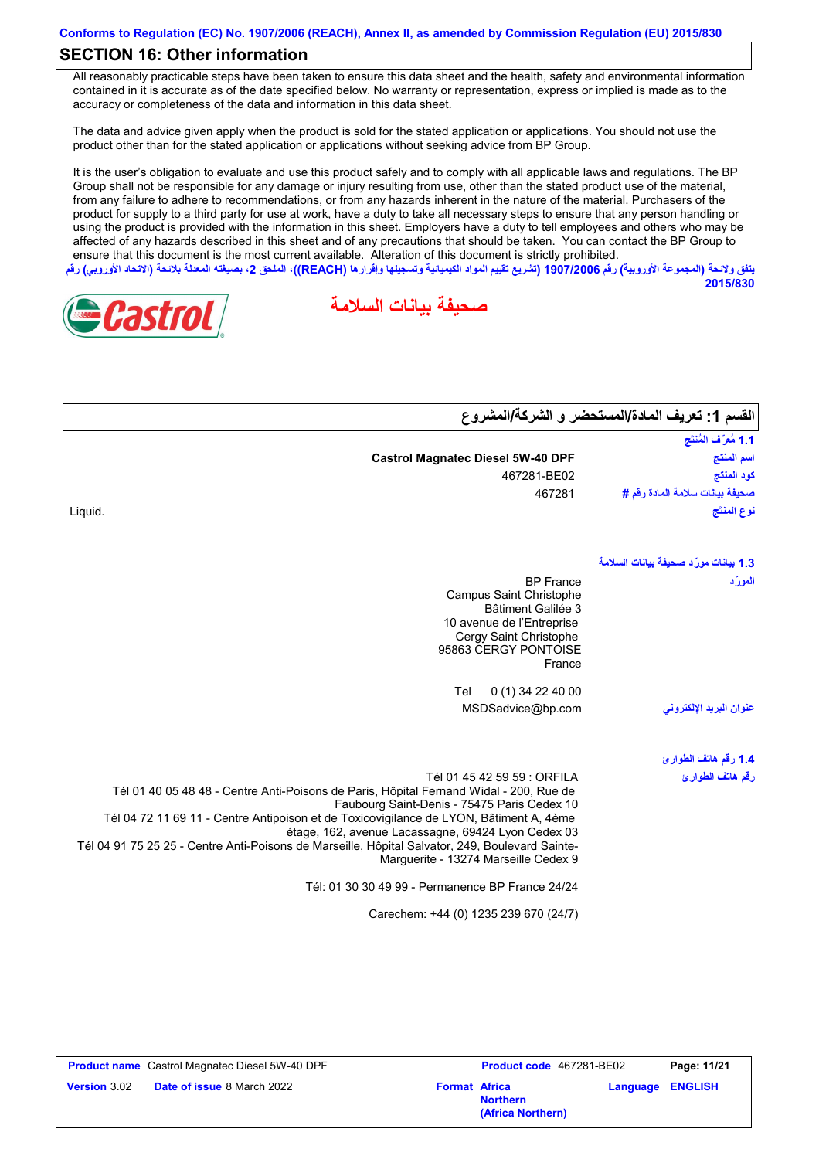### **SECTION 16: Other information**

All reasonably practicable steps have been taken to ensure this data sheet and the health, safety and environmental information contained in it is accurate as of the date specified below. No warranty or representation, express or implied is made as to the accuracy or completeness of the data and information in this data sheet.

The data and advice given apply when the product is sold for the stated application or applications. You should not use the product other than for the stated application or applications without seeking advice from BP Group.

It is the user's obligation to evaluate and use this product safely and to comply with all applicable laws and regulations. The BP Group shall not be responsible for any damage or injury resulting from use, other than the stated product use of the material, from any failure to adhere to recommendations, or from any hazards inherent in the nature of the material. Purchasers of the product for supply to a third party for use at work, have a duty to take all necessary steps to ensure that any person handling or using the product is provided with the information in this sheet. Employers have a duty to tell employees and others who may be affected of any hazards described in this sheet and of any precautions that should be taken. You can contact the BP Group to ensure that this document is the most current available. Alteration of this document is strictly prohibited. **یتفق ولائحة (المجموعة الأوروبیة) رقم 1907/2006 (تشریع تقییم المواد الكیمیائیة وتسجیلھا وإقرارھا (REACH((، الملحق ،2 بصیغتھ المعدلة بلائحة (الاتحاد الأوروبي) رقم**

**صحیفة بیانات السلامة**



**2015/830**

| القسم 1: تعريف المادة/المستحضر و الشركة/المشروع |                                          |
|-------------------------------------------------|------------------------------------------|
| 1.1 مُعرَّف المُنتَج                            |                                          |
| اسم المنتج                                      | <b>Castrol Magnatec Diesel 5W-40 DPF</b> |
| كود المنتج                                      | 467281-BE02                              |
| صحيفة بيانات سلامة المادة رفَم #                | 467281                                   |
| نوع المنتَج                                     |                                          |
| 1.3 بيانات مورّد صحيفة بيانات السلامة           |                                          |
| المورّد                                         | <b>BP</b> France                         |
|                                                 | Campus Saint Christophe                  |
|                                                 | <b>Bâtiment Galilée 3</b>                |
|                                                 | 10 avenue de l'Entreprise                |

|                         | France                                                                                                                                                                                                                                                         |
|-------------------------|----------------------------------------------------------------------------------------------------------------------------------------------------------------------------------------------------------------------------------------------------------------|
|                         | 0 (1) 34 22 40 00<br>Tel                                                                                                                                                                                                                                       |
| عنوان البريد الإلكتروني | MSDSadvice@bp.com                                                                                                                                                                                                                                              |
| 1.4 رقم هاتف الطوارئ    |                                                                                                                                                                                                                                                                |
| ر قم هاتف الطوار ئ      | Tél 01 45 42 59 59 : ORFILA<br>Tél 01 40 05 48 48 - Centre Anti-Poisons de Paris, Hôpital Fernand Widal - 200, Rue de<br>Faubourg Saint-Denis - 75475 Paris Cedex 10<br>Tél 04 72 11 69 11 - Centre Antipoison et de Toxicovigilance de LYON, Bâtiment A, 4ème |

Cergy Saint Christophe 95863 CERGY PONTOISE

étage, 162, avenue Lacassagne, 69424 Lyon Cedex 03 Tél 04 91 75 25 25 - Centre Anti-Poisons de Marseille, Hôpital Salvator, 249, Boulevard Sainte-Marguerite - 13274 Marseille Cedex 9

Tél: 01 30 30 49 99 - Permanence BP France 24/24

Carechem: +44 (0) 1235 239 670 (24/7)

|                     | <b>Product name</b> Castrol Magnatec Diesel 5W-40 DPF |                      | <b>Product code</b> 467281-BE02      |                         | Page: 11/21 |
|---------------------|-------------------------------------------------------|----------------------|--------------------------------------|-------------------------|-------------|
| <b>Version</b> 3.02 | <b>Date of issue 8 March 2022</b>                     | <b>Format Africa</b> | <b>Northern</b><br>(Africa Northern) | <b>Language ENGLISH</b> |             |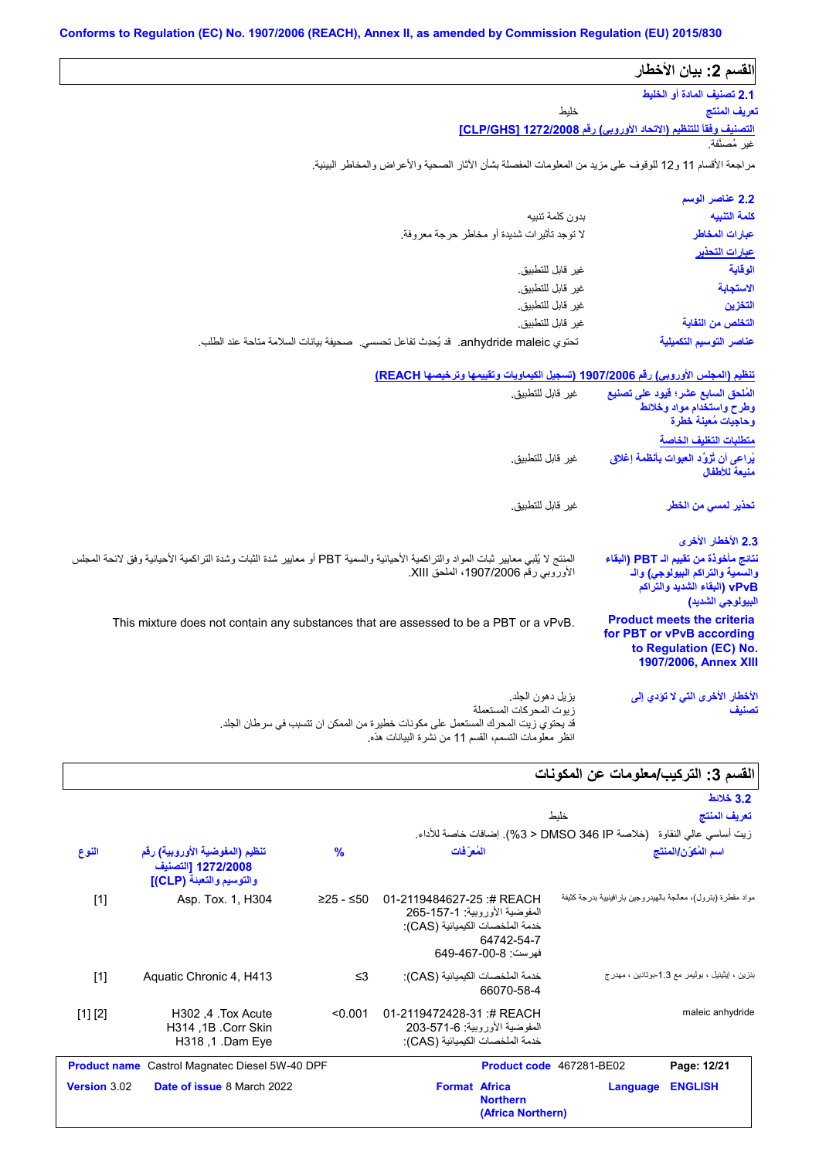| القسم 2: بيان الأخطار                                                                                             |                                                                                                                                                                                            |           |                                                                                  |       |
|-------------------------------------------------------------------------------------------------------------------|--------------------------------------------------------------------------------------------------------------------------------------------------------------------------------------------|-----------|----------------------------------------------------------------------------------|-------|
| 2.1 تصنيف المادة أو الخليط                                                                                        |                                                                                                                                                                                            |           |                                                                                  |       |
| تعريف المنتج                                                                                                      | خليط                                                                                                                                                                                       |           |                                                                                  |       |
| التصنيف وفقاً للتنظيم (الاتحاد الأوروبي) رفَع CLP/GHS] 1272/2008                                                  |                                                                                                                                                                                            |           |                                                                                  |       |
|                                                                                                                   |                                                                                                                                                                                            |           |                                                                                  |       |
|                                                                                                                   | مراجعة الأقسام 11 و12 للوقوف على مزيد من المعلومات المفصلة بشأن الأثار الصحية والأعراض والمخاطر البيئية.                                                                                   |           |                                                                                  |       |
| 2.2 عناصر الوسم                                                                                                   |                                                                                                                                                                                            |           |                                                                                  |       |
| كلمة التنبيه                                                                                                      | بدون كلمة تنبيه                                                                                                                                                                            |           |                                                                                  |       |
| عبارات المخاطر                                                                                                    | لا توجد تأثيرات شديدة أو مخاطر حرجة معروفة.                                                                                                                                                |           |                                                                                  |       |
| <u>عبارات التحذير</u>                                                                                             |                                                                                                                                                                                            |           |                                                                                  |       |
| الوقاية                                                                                                           | غير قابل للتطبيق.                                                                                                                                                                          |           |                                                                                  |       |
| الاستجابة                                                                                                         | غير قابل للتطبيق.                                                                                                                                                                          |           |                                                                                  |       |
| التخزين                                                                                                           | غير قابل للتطبيق.                                                                                                                                                                          |           |                                                                                  |       |
| التخلص من النفاية                                                                                                 | غير قابل للتطبيق.                                                                                                                                                                          |           |                                                                                  |       |
| عناصر التوسيم التكميلية                                                                                           | تحتوي anhydride maleic. قد يُحدِث تفاعل تحسسي. صحيفة بيانات السلامة متاحة عند الطلب.                                                                                                       |           |                                                                                  |       |
|                                                                                                                   | <u>تنظيم (المجلس الأوروبي) رقم 1907/2006 (تسجيل الكيماويات وتقييمها وترخيصها [REACH</u> )                                                                                                  |           |                                                                                  |       |
| المُلحق السابع عشر؛ فيود على تصنيع                                                                                | غير قابل للتطبيق.                                                                                                                                                                          |           |                                                                                  |       |
| وطرح واستخدام مواد وخلائط<br>وحاجيات مُعينة خطرة                                                                  |                                                                                                                                                                                            |           |                                                                                  |       |
| متطلبات التغليف الخاصة                                                                                            |                                                                                                                                                                                            |           |                                                                                  |       |
| يُراعى أن تُزْوَّد العبوات بأنظمة إغلاق                                                                           | غير  قابل للتطبيق.                                                                                                                                                                         |           |                                                                                  |       |
| منبعة للأطفال                                                                                                     |                                                                                                                                                                                            |           |                                                                                  |       |
| تحذير لمسى من الخطر                                                                                               | غير  قابل للتطبيق.                                                                                                                                                                         |           |                                                                                  |       |
| 2.3 الأخطار الأخرى                                                                                                |                                                                                                                                                                                            |           |                                                                                  |       |
| نتائج مأخوذة من تقييم الـ PBT (البقاء                                                                             | المنتج لا يُلبي معابير ثبات المواد والتراكمية الأحيائية والسمية PBT أو معايير شدة الثبات وشدة التراكمية الأحيائية وفق لانحة المجلس                                                         |           |                                                                                  |       |
| والسمية والتراكم البيولوجي) والـ                                                                                  | الأوروبي رقم 1907/2006، الملحق XIII.                                                                                                                                                       |           |                                                                                  |       |
| vPvB (البقاء الشديد والتراكم<br>البيولوجي الشديد)                                                                 |                                                                                                                                                                                            |           |                                                                                  |       |
| <b>Product meets the criteria</b><br>for PBT or vPvB according<br>to Regulation (EC) No.<br>1907/2006, Annex XIII | This mixture does not contain any substances that are assessed to be a PBT or a vPvB.                                                                                                      |           |                                                                                  |       |
| الأخطار الأخرى التي لا تؤدي إلى<br>تصنيف                                                                          | بز بل دهون الجلد.<br>زيوت المحركات المستعملة<br>قد يحتو ي زيت المحر ك المستعمل على مكونات خطيرة من الممكن ان تتسبب في سر طان الجلد.<br>انظر معلومات التسمم، القسم 11 من نشرة البيانات هذه. |           |                                                                                  |       |
| الفسم 3: التركيب/معلومات عن المكونات                                                                              |                                                                                                                                                                                            |           |                                                                                  |       |
| 3.2 خلائط                                                                                                         |                                                                                                                                                                                            |           |                                                                                  |       |
| تعريف المنتج                                                                                                      | خلبط                                                                                                                                                                                       |           |                                                                                  |       |
|                                                                                                                   | زيت أساسي عالى النقاوة   (خلاصة DMSO 346 IP < 3%). إضافات خاصة للأداء                                                                                                                      |           |                                                                                  |       |
| اسم المُكوّن/المنتَج                                                                                              | المُعرَفات                                                                                                                                                                                 | %         | تنظيم (المفوضية الأوروبية) رقم<br>1272/2008 [التصنيف<br>والتوسيم والتعبنة (CLP)] | النوع |
| مواد مقطرة (بترول)، معالجة بالهيدروجين بار افينيية بدرجة كثيفة                                                    | 01-2119484627-25:# REACH<br>المفوضية الأوروبية: 1-157-265<br>خدمة الملخصات الكيميائية (CAS):<br>64742-54-7<br>فهرست: 8-00-649-649                                                          | ≥25 - ≤50 | Asp. Tox. 1, H304                                                                | $[1]$ |
|                                                                                                                   | خدمة الملخصات الكيميائية (CAS):                                                                                                                                                            | ≤3        | Aquatic Chronic 4, H413                                                          | $[1]$ |

[1] [2] H302 ,4 .Tox Acute H314 ,1B .Corr Skin H318 ,1 .Dam Eye <0.001 01-2119472428-31 :# REACH المفوضیة الأوروبیة: 203-571-6 خدمة الملخصات الكیمیائیة (CAS): maleic anhydride **Product name** Castrol Magnatec Diesel 5W-40 DPF **Product Code** 467281-BE02 **Page: 12/21 Version** 3.02 **Date of issue** 8 March 2022 **Format Africa Language ENGLISH**

**Northern**

**(Africa Northern)**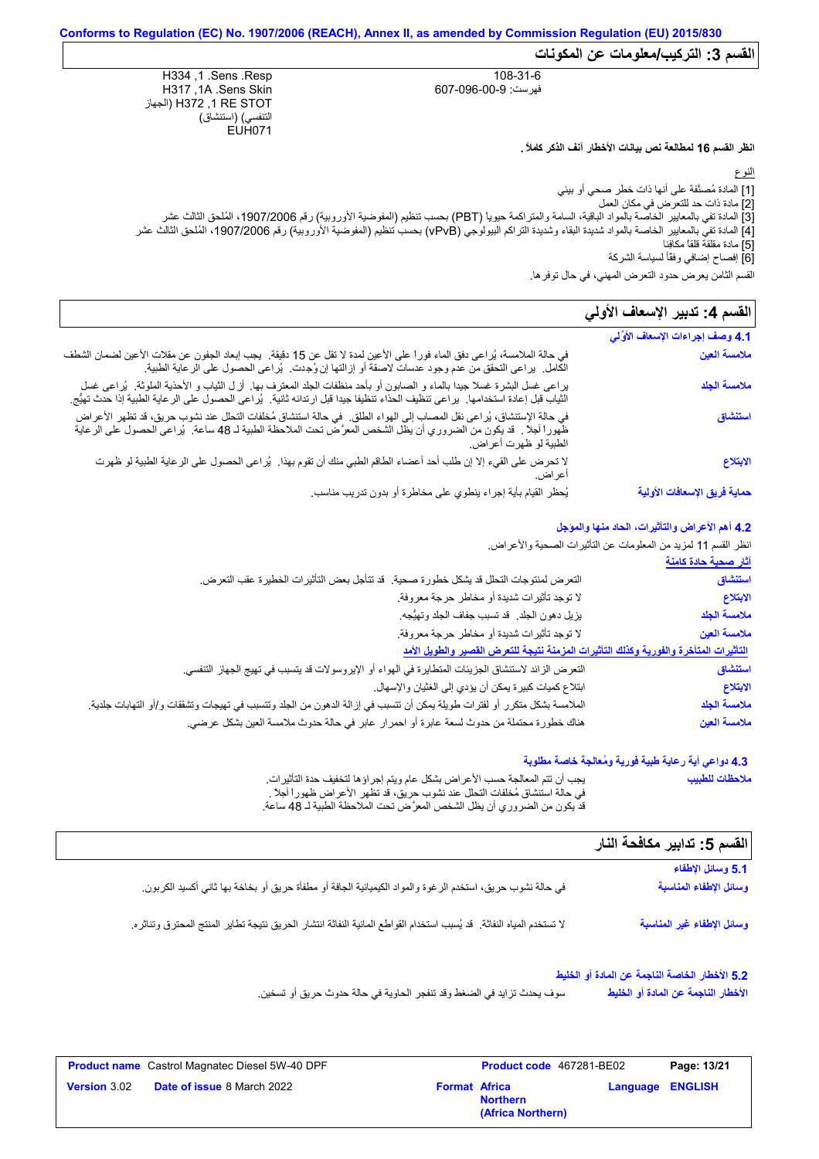**القسم :3 التركیب/معلومات عن المكونات**

108-31-6 فھرست: 607-096-00-9

H334 ,1 .Sens .Resp H317 ,1A .Sens Skin الجھاز (H372 ,1 RE STOT التنفسي) (استنشاق) EUH071

**انظر القسم 16 لمطالعة نص بیانات الأخطار آنف الذكر كاملاً .**

النوع

[1] المادة مُصنَّفة على أنھا ذات خطر صحي أو بیئي [2] مادة ذات حد للتعرض في مكان العمل

[3] المادة تفي بالمعاییر الخاصة بالمواد الباقیة، السامة والمتراكمة حیویاً (PBT (بحسب تنظیم (المفوضیة الأوروبیة) رقم ،1907/2006 المُلحق الثالث عشر [4] المادة تفي بالمعاییر الخاصة بالمواد شدیدة البقاء وشدیدة التراكم البیولوجي (vPvB (بحسب تنظیم (المفوضیة الأوروبیة) رقم ،1907/2006 المُلحق الثالث عشر [5] مادة مقلقة قلقاً مكافِئا [6] إفصاح إضافي وفقًأ لسیاسة الشركة

### القسم **4:** تدبير الإسعاف الأول*ي*

| ړ ټيان د ح<br>القسم الثامن يعرض حدود التعرض المهني، في حال توفر ها. |                                                                                                                                                                                                                                                                       |
|---------------------------------------------------------------------|-----------------------------------------------------------------------------------------------------------------------------------------------------------------------------------------------------------------------------------------------------------------------|
| القسم 4: تدبير الإسعاف الأولي                                       |                                                                                                                                                                                                                                                                       |
| 4.1 وصف إجراءات الإسعاف الأوَّلي                                    |                                                                                                                                                                                                                                                                       |
| ملامسة العين                                                        | في حالة الملامسة، يُراعى دفق الماء فوراً على الأعين لمدة لا تقل عن 15 دقيقة.  يجب إبعاد الجفون عن مقلات الأعين لضمان الشطف<br>الكامل  يراعي التحقق من عدم وجود عدسات لاصقة أو إزالتها إن وُجِدت  يُراعي الحصول على الرعاية الطبية.                                    |
| ملامسة الجلد                                                        | يراعي غسل البشرة غسلا جيدًا بالماء و الصابون أو بأحد منظفات الجلد المعترف بها. أزل الثياب و الأحذية الملوثة. يُراعى غسل<br>الثياب قبل إعادة استخدامها.  يراعى تنظيف الحذاء تنظيفا جيدا قبل ارتدائه ثانية.  يُراعى الحصول على الر عاية الطبية إذا حدث تهيُّج.          |
| استنشاق                                                             | في حالة الإستنشاق، يُراعي نقل المصاب إلى الهواء الطلق.  في حالة استنشاق مُخلفات التحلل عند نشوب حريق، قد تظهر الأعراض<br>ظهوراً أجلاً .  قد يكون من الضروري أن يظل الشخص المعرَّض نحت الملاحظة الطبية لـ 48 ساعة.  يُراعى الحصول على الرعاية<br>الطبية لو ظهرت أعراض. |
| الابتلاع                                                            | لا تحرض على القيء إلا إن طلب أحد أعضاء الطاقم الطبي منك أن تقوم بهذا.  يُراعى الحصول على الرعاية الطبية لو ظهرت<br>اعر اض.                                                                                                                                            |
| حماية فريق الإسعافات الأولية                                        | يُحظر القيام بأية إجراء ينطوي على مخاطرة أو بدون تدريب مناسب                                                                                                                                                                                                          |

#### **4.2 أھم الأعراض والتأثیرات، الحاد منھا والمؤجل**

انظر القسم 11 لمزید من المعلومات عن التأثیرات الصحیة والأعراض.

|  | آثار صحية حادة كامنة |  |
|--|----------------------|--|
|--|----------------------|--|

| التعرض لمنتوجات التحلل قد يشكل خطورة صحية. قد تتأجل بعض التأثيرات الخطيرة عقب التعرض.                                                | استنشاق      |
|--------------------------------------------------------------------------------------------------------------------------------------|--------------|
| لا توجد تأثيرات شديدة أو مخاطر حرجة معروفة.                                                                                          | الابتلاع     |
| يزيل دهون الجلد ٍ قد تسبب جفاف الجلد وتهيُّجه.                                                                                       | ملامسة الجلد |
| لا توجد تأثيرات شديدة أو مخاطر حرجة معروفة.                                                                                          | ملامسة العين |
| التأثيرات المتأخرة والفورية وكذلك التأثيرات المزمنة نتيجة للتعرض القصير والطويل الأمد                                                |              |
| النعر ض الزائد لاستنشاق الجزيئات المتطايرة في الهواء أو الإيروسولات قد يتسبب في تهيج الجهاز التنفسي.                                 | استنشاق      |
| ابتلاع كميات كبيرة يمكن أن يؤدي إلى الغثيان والإسهال.                                                                                | الايتلاع     |
| الملامسة بشكل منكرر أو لفترات طويلة يمكن أن تتسبب في إزالة الدهون من الجلد وتتسبب في تهيجات وتشققات و/أو التهابات جلدية <sub>.</sub> | ملامسة الجلد |
| هناك خطورة محتملة من حدوث لسعة عابرة أو احمرار عابر في حالة حدوث ملامسة العين بشكل عرضي.                                             | ملامسة العين |

### **4.3 دواعي أیة رعایة طبیة فوریة ومُعالجة خاصة مطلوبة**

| يجب أن نتم المعالجة حسب الأعر اض بشكل عام ويتم إجر اؤ ها لتخفيف حدة التأثير ات.   | ملاحظات للطبيب |
|-----------------------------------------------------------------------------------|----------------|
| ً في حالة استشاق مُخلَّفات التحلُّل عند نشوب حريق، قد تظهر الأعراض ظهور أ أجلاً . |                |
| قد يكون من الضروري أن يظل الشخص المعرَّض تحت الملاحظة الطبية لـ 48 ساعة.          |                |

### **القسم :5 تدابیر مكافحة النار**

| 5.1 وسائل الإطفاء          |                                                                                                                       |
|----------------------------|-----------------------------------------------------------------------------------------------------------------------|
| وسائل الإطفاء المناسبة     | في حالة نشوب حريق، استخدم الرغوة والمواد الكيميائية الجافة أو مطفأة حريق أو بخاخة بها ثاني أكسيد الكربون              |
| وسانل الإطفاء غير المناسبة | لا تستخدم المياه النفاثة.  قد يُسبب استخدام القواطع المائية النفاثة انتشار الحريق نتيجة تطاير المنتج المحترق وتناثره. |

### **5.2 الأخطار الخاصة الناجمة عن المادة أو الخلیط**

سوف یحدث تزاید في الضغط وقد تنفجر الحاویة في حالة حدوث حریق أو تسخین. **الأخطار الناجمة عن المادة أو الخلیط**

|                     | <b>Product name</b> Castrol Magnatec Diesel 5W-40 DPF |                      | <b>Product code</b> 467281-BE02      |                         | Page: 13/21 |
|---------------------|-------------------------------------------------------|----------------------|--------------------------------------|-------------------------|-------------|
| <b>Version 3.02</b> | <b>Date of issue 8 March 2022</b>                     | <b>Format Africa</b> | <b>Northern</b><br>(Africa Northern) | <b>Language ENGLISH</b> |             |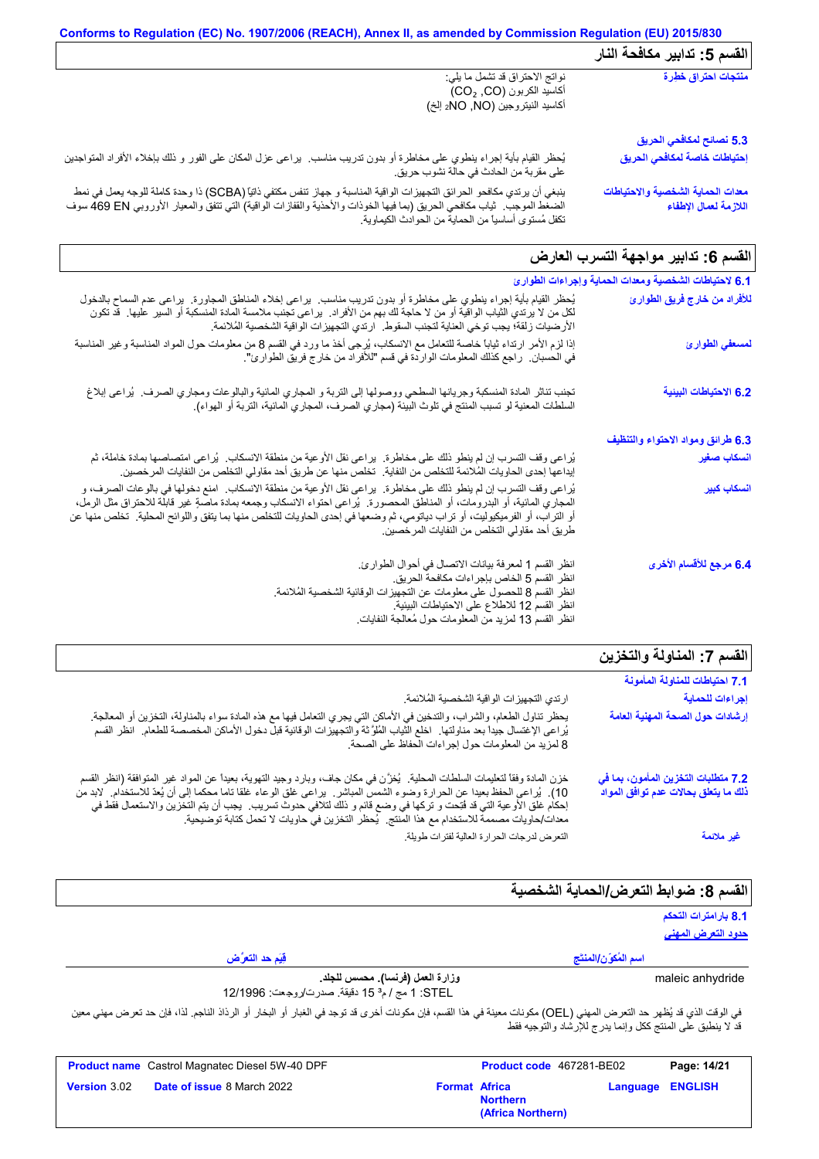#### **Conforms to Regulation (EC) No. 1907/2006 (REACH), Annex II, as amended by Commission Regulation (EU) 2015/830** الق*سم* 5: تدابیر مكافحة النار یُحظر القیام بأیة إجراء ینطوي على مخاطرة أو بدون تدریب مناسب. یراعى عزل المكان على الفور و ذلك بإخلاء الأفراد المتواجدین على مقربة من الحادث في حالة نشوب حریق. نواتج الاحتراق قد تشمل ما یلي: أكاسید الكربون (CO, ₂CO( أكاسید النیتروجین (NO, NO2 إلخ) ینبغي أن یرتدي مكافحو الحرائق التجھیزات الواقیة المناسبة و جھاز تنفس مكتفي ذاتیاً (SCBA (ذا وحدة كاملة للوجھ یعمل في نمط الضغط الموجب. ثیاب مكافحي الحریق (بما فیھا الخوذات والأحذیة والقفازات الواقیة) التي تتفق والمعیار الأوروبي EN 469 سوف تكفل مُستوى أساسیاً من الحمایة من الحوادث الكیماویة. **5.3 نصائح لمكافحي الحریق منتجات احتراق خطِرة إحتیاطات خاصة لمكافحي الحریق معدات الحمایة الشخصیة والاحتیاطات اللازمة لعمال الإطفاء**

# القسم 6: تدابیر مواجهة التسرب العا*ر*ض

| 6.1 لاحتياطات الشخصية ومعدات الحماية وإجراءات الطوارئ |                                                                                                                                                                                                                                                                                                                                                                                                                                    |
|-------------------------------------------------------|------------------------------------------------------------------------------------------------------------------------------------------------------------------------------------------------------------------------------------------------------------------------------------------------------------------------------------------------------------------------------------------------------------------------------------|
| للأفراد من خارج فريق الطوارئ                          | يُحظر القيام بأية إجراء ينطوي على مخاطرة أو بدون تدريب مناسب. يراعى إخلاء المناطق المجاورة. يراعى عدم السماح بالدخول<br>لكل من لا يرتدي الثياب الواقية أو من لا حاجة لك بهم من الأفراد.  يراعي تجنب ملامسة المادة المنسكبة أو السير عليها.  قد تكون<br>الأرضيات زلقة؛ يجب توخي العناية لتجنب السقوط.   ارتدي التجهيزات الواقية الشخصية المُلائمة.                                                                                  |
| لمسعفي الطوارئ                                        | إذا لزم الأمر ارتداء ثياباً خاصة للتعامل مع الانسكاب، يُرجى أخذ ما ورد في القسم 8 من معلومات حول المواد المناسبة وغير المناسبة<br>في الحسبان.   راجع كذلك المعلومات الواردة في قسم "للأفراد من خار ج فريق الطوارئ".                                                                                                                                                                                                                |
| 6.2 الاحتياطات البينية                                | تجنب تناثر المادة المنسكبة وجريانها السطحي ووصولها إلى التربة و المجاري المائية والبالوعات ومجاري الصرف.  يُراعى إبلاغ<br>السلطات المعنية لو تسبب المنتج في تلوث البيئة (مجاري الصرف، المجاري المائية، التربة أو الهواء).                                                                                                                                                                                                          |
| 6.3 طرائق ومواد الاحتواء والتنظيف                     |                                                                                                                                                                                                                                                                                                                                                                                                                                    |
| انسكاب صغير                                           | يُراعى وقف التسرب إن لم ينطو ذلك على مخاطرة.  يراعي نقل الأوعية من منطقة الانسكاب.  يُراعى امتصاصها بمادة خاملة، ثم<br>إيداعها إحدى الحاويات المُلائمة للتخلص من النفاية.  تخلص منها عن طريق أحد مقاولي التخلص من النفايات المرخصين.                                                                                                                                                                                               |
| ا <mark>نسكاب كبير</mark>                             | يُراعي وقف التسرب إن لم ينطو ذلك على مخاطرة.  يراعي نقل الأوعية من منطقة الانسكاب.  امنع دخولها في بالوعات الصرف، و<br>المجاري المانية، أو البدرومات، أو المناطق المحصورة.  يُراعى احتواء الانسكاب وجمعه بمادة ماصةٍ غير قابلة للاحتراق مثل الرمل،<br>أو التراب، أو الفرميكيوليت، أو تراب دياتومي، ثم وضعها في إحدى الحاويات للتخلص منها بما يتفق واللوائح المحلية ِ تخلص منها عن<br>طريق احد مقاولي التخلص من النفايات المر خصين. |
| 6.4 مرجع للأقسام الأخرى                               | انظر القسم 1 لمعرفة بيانات الاتصال في أحوال الطوارئ.<br>انظر القسم 5 الخاص بإجراءات مكافحة الحريق.<br>انظر القسم 8 للحصول على معلومات عن التجهيزات الوقائية الشخصية المُلائمة.<br>انظر القسم 12 للاطلاع على الاحتياطات البيئية.<br>انظر القسم 13 لمزيد من المعلومات حول مُعالجة النفايات                                                                                                                                           |

| القسم 7: المناولة والتخزين                                                  |                                                                                                                                                                                                                                                                                                                                                                                                                                                                                  |
|-----------------------------------------------------------------------------|----------------------------------------------------------------------------------------------------------------------------------------------------------------------------------------------------------------------------------------------------------------------------------------------------------------------------------------------------------------------------------------------------------------------------------------------------------------------------------|
| 7.1 احتياطات للمناولة المأمونة                                              |                                                                                                                                                                                                                                                                                                                                                                                                                                                                                  |
| إجراءات للحماية                                                             | ارتدي التجهيز ات الواقية الشخصية المُلائمة.                                                                                                                                                                                                                                                                                                                                                                                                                                      |
| إرشادات حول الصحة المهنية العامة                                            | يحظر تناول الطعام، والشراب، والتدخين في الأماكن التي يجري التعامل فيها مع هذه المادة سواء بالمناولة، التخزين أو المعالجة <sub>.</sub><br>يُراعى الإغتسال جيداً بعد مناولتها <sub>-</sub> اخلع الثياب المُلوَّثة والتجهيزات الوقائية قبل دخول الأماكن<br>8 لمزيد من المعلومات حول إجراءات الحفاظ على الصحة.                                                                                                                                                                       |
| 7.2 متطلبات التخزين المأمون، بما في<br>ذلك ما يتعلق بحالات عدم توافق المواد | خزن المادة وفقاً لتعليمات السلطات المحلية.  يُخزَّن في مكان جاف، وبارد وجيد التهوية، بعيداً عن المواد غير المتوافقة (انظر القسم<br>10). يُراعى الحفظ بعيدا عن الحرارة وضوء الشمس المباشر. يراعى غلق الوعاء غلقا ناما محكما إلى أن يُعدّ للاستخدام. لابد من<br>إحكام غلق الأوعية التي قد فُتِحت و تركها في وضع قائم و ذلك لتلافي حدوث تسريب.  يجب أن يتم التخزين والاستعمال فقط في<br>معدات/حاويات مصممة للاستخدام مع هذا المنتج.  يُحظر التخزين في حاويات لا تحمل كتابة توصيحية. |
| غير ملائمة                                                                  | التعرض لدرجات الحرارة العالية لفترات طويلة                                                                                                                                                                                                                                                                                                                                                                                                                                       |
|                                                                             |                                                                                                                                                                                                                                                                                                                                                                                                                                                                                  |

# **القسم :8 ضوابط التعرض/الحمایة الشخصیة**

### **8.1 بارامترات التحكم حدود التعرض المھني**

|                                                           | .ن چربھرت سے<br><u>دود التعرض المهنى</u>                                                                                                                                                                                   |
|-----------------------------------------------------------|----------------------------------------------------------------------------------------------------------------------------------------------------------------------------------------------------------------------------|
| قِيَم حد التعرَّض                                         | اسم المُكوّن/المنتَج                                                                                                                                                                                                       |
| STEL: 1 مج / م <sup>3</sup> 15 دقيقة. صدرت/روجعت: 12/1996 | وزارة العمل (فرنسا). محسس للجلد.<br>maleic anhydride                                                                                                                                                                       |
|                                                           | في الوقت الذي قد يُظهر حد التعرض المهني (OEL) مكونات معينة في هذا القسم، فإن مكونات أخرى قد توجد في الغبار أو الراد الذاق الناجم. لذا، فإن حد تعرض مهني معين<br>قد لا ينطبق على المنتج ككل وإنما يدرج للإرشاد والتوجيه فقط |

|                     | <b>Product name</b> Castrol Magnatec Diesel 5W-40 DPF |                      | <b>Product code</b> 467281-BE02      |                         | Page: 14/21 |
|---------------------|-------------------------------------------------------|----------------------|--------------------------------------|-------------------------|-------------|
| <b>Version 3.02</b> | <b>Date of issue 8 March 2022</b>                     | <b>Format Africa</b> | <b>Northern</b><br>(Africa Northern) | <b>Language ENGLISH</b> |             |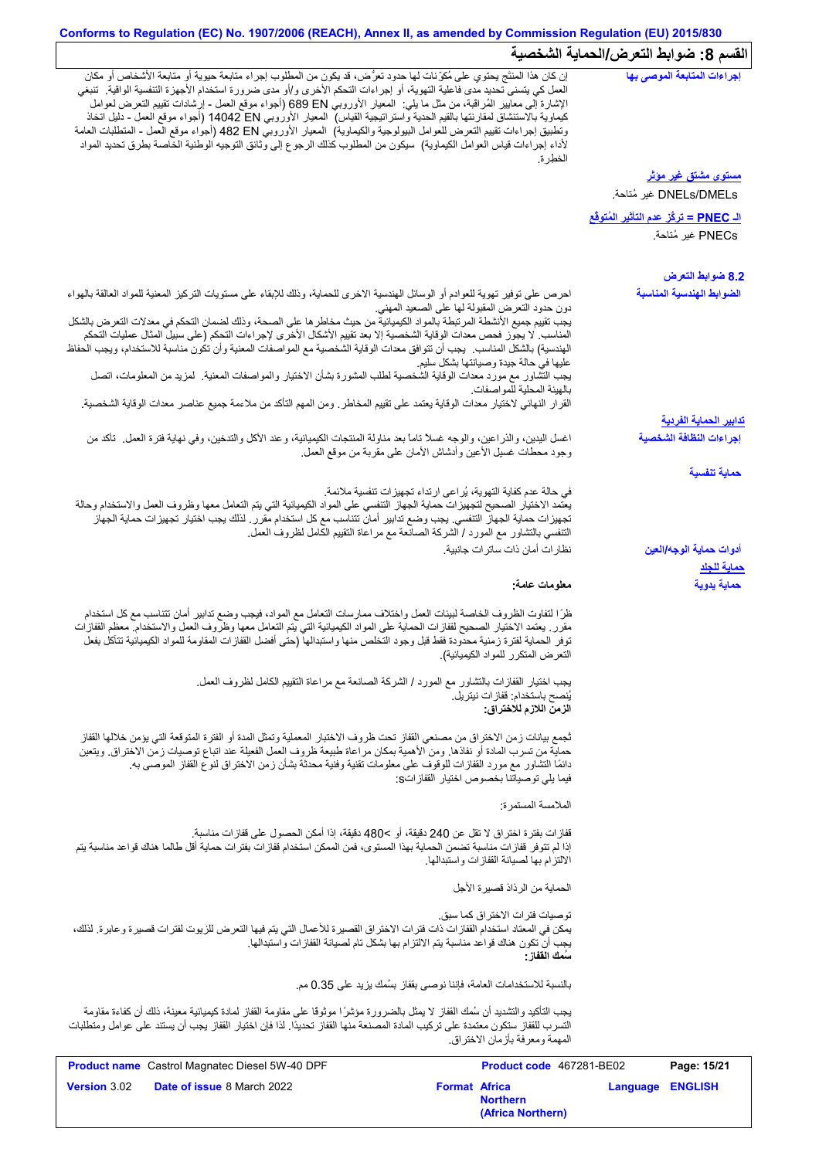# **Conforms to Regulation (EC) No. 1907/2006 (REACH), Annex II, as amended by Commission Regulation (EU) 2015/830** القسم 8: ضوابط التعرض/الحماية الشخصية

| $\sim$ $\sim$ $\sim$ $\sim$ $\sim$ $\sim$ $\sim$       |                                                                                                                                                            |                                                                                                                                                                                                                                                                                                                                                                                                                                                                                                                                                                                                                                                                                                                                                                           |
|--------------------------------------------------------|------------------------------------------------------------------------------------------------------------------------------------------------------------|---------------------------------------------------------------------------------------------------------------------------------------------------------------------------------------------------------------------------------------------------------------------------------------------------------------------------------------------------------------------------------------------------------------------------------------------------------------------------------------------------------------------------------------------------------------------------------------------------------------------------------------------------------------------------------------------------------------------------------------------------------------------------|
| إجراءات المتابعة الموصى بها                            | الخطر ة.                                                                                                                                                   | إن كان هذا المنتَج بحتوي على مُكرِّنات لها حدود تعرُّض، قد يكون من المطلوب إجراء متابعة حيوية أو متابعة الأشخاص أو مكان<br>العمل كي يتسنى تحديد مدى فاعلية التهوية، أو اجراءات التحكم الأخرى و/أو مدى ضرورة استخدام الأجهزة التنفسية الواقية.  تنبغي<br>الإشارة إلى معايير الْمُراقبة، من مثل ما يلي:  المعيار الأوروبي 689 EN (أجواء موقع العمل - إرشادات نقييع التعرض لعوامل<br>كيماوية بالاستنشاق لمقارنتها بالقيم الحدية واستراتيجية القياس)  المعيار الأوروبي 14042 D إأجواء موقع العمل - دليل اتخاذ<br>ونطبيق إجراءات تقييم التعرض للعوامل البيولوجية والكيماوية)  المعيار الأوروبي 482 EN (أجواء موقع العمل - المنطلبات العامة<br>لأداء إجراءات قياس العوامل الكيماوية)  سيكون من المطلوب كذلك الرجوع إلى وثانق التوجيه الوطنية الخاصة بطرق تحديد المواد           |
| <u>مستوى مشتق غير مؤثر</u>                             |                                                                                                                                                            |                                                                                                                                                                                                                                                                                                                                                                                                                                                                                                                                                                                                                                                                                                                                                                           |
| DNELs/DMELs غير مُتاحة.                                |                                                                                                                                                            |                                                                                                                                                                                                                                                                                                                                                                                                                                                                                                                                                                                                                                                                                                                                                                           |
| ا <mark>لـ PNEC = تركَّز عدم التأثير المُتوفَّع</mark> |                                                                                                                                                            |                                                                                                                                                                                                                                                                                                                                                                                                                                                                                                                                                                                                                                                                                                                                                                           |
| PNECs غير مُتاحة.                                      |                                                                                                                                                            |                                                                                                                                                                                                                                                                                                                                                                                                                                                                                                                                                                                                                                                                                                                                                                           |
| 8.2 ضوابط التعرض                                       |                                                                                                                                                            |                                                                                                                                                                                                                                                                                                                                                                                                                                                                                                                                                                                                                                                                                                                                                                           |
| الضوابط الهندسية المناسبة                              | دون حدود النعرض المقبولة لـها علـى الصـعيد المـهنـي<br>عليها في حالة جيدة وصيانتها بشكل سليم<br>بالهيئة المحلية للمواصفات                                  | احرص على توفير تهوية للعوادم أو الوسائل الهندسية الاخرى للحماية، وذلك للإبقاء على مستويات التركيز المعنية للمواد العالقة بالهواء<br>يجب تقييم جميع الأنشطة المرتبطة بالمواد الكيميائية من حيث مخاطر ها على الصحة، وذلك لضمان التحكم في معدلات التعرض بالشكل<br>المناسب لا يجوز فحص معدات الوقاية الشخصية إلا بعد تقييم الأشكال الأخرى لإجراءات التحكم (على سبيل المثال عمليات التحكم<br>الهندسية) بالشكل المناسب. يجب أن تتوافق معدات الوقاية الشخصية مع المواصفات المعنية وأن تكون مناسبة للاستخدام، ويجب الحفاظ<br>يجب التِّشاور مع مورد معدات الوقاية الشَّخصية لطلب المشورة بشأن الاختيار والمواصفات المعنية. كمزيد من المعلومات، اتصل<br>القرار النهائي لاختيار معدات الوقاية يعتمد على تقييم المخاطر ـ ومن المهم التأكد من ملاءمة جميع عناصر معدات الوقاية الشخصية. |
| <u>تدابير الحماية الفردية</u>                          |                                                                                                                                                            |                                                                                                                                                                                                                                                                                                                                                                                                                                                                                                                                                                                                                                                                                                                                                                           |
| إجراءات النظافة الشخصية                                | وجود محطات غسلي الأعين وأدشاش الأمان على مقربة من موقع العمل.                                                                                              | اغسل اليدين، والذراعين، والوجه غسلاً ناماً بعد مذاولة المنتجات الكيميائية، وعند الأكل والتدخين، وفي نهاية فترة العمل  تأكد من                                                                                                                                                                                                                                                                                                                                                                                                                                                                                                                                                                                                                                             |
| حماية تنفسية                                           |                                                                                                                                                            |                                                                                                                                                                                                                                                                                                                                                                                                                                                                                                                                                                                                                                                                                                                                                                           |
|                                                        | في حالة عدم كفاية التهوية، يُراعى ارتداء تجهيزات تنفسية ملائمة.<br>التنفسي بالتشاور مع المورد / الشركة الصانعة مع مراعاة التقييم الكامل لظروف العمل.       | يعتمد الاختيار الصحيح لتجهيزات حماية الجهاز التنفسي على المواد الكيميائية التي يتم التعامل معها وظروف العمل والاستخدام وحالة<br>تجهيز ات حماية الجهاز التنفسي. يجب وضع تدابير أمان تتناسب مع كل استخدام مقرر . لذلك يجب اختيار تجهيز ات حماية الجهاز                                                                                                                                                                                                                                                                                                                                                                                                                                                                                                                      |
| أدوات حماية الوجه/العين<br><u>حماية للجلد</u>          | نظار ات أمان ذات ساتر ات جانبية.                                                                                                                           |                                                                                                                                                                                                                                                                                                                                                                                                                                                                                                                                                                                                                                                                                                                                                                           |
| حماية يدوية                                            | معلومات عامة:                                                                                                                                              |                                                                                                                                                                                                                                                                                                                                                                                                                                                                                                                                                                                                                                                                                                                                                                           |
|                                                        | التعرض المتكرر للمواد الكيميائية).                                                                                                                         | ظرًا لتفاوت الظروف الخاصة لبينات العمل واختلاف ممارسات التعامل مع المواد، فيجب وضع تدابير أمان تتناسب مع كل استخدام<br>مقرر ٍ يعتمد الاختيار الصحيح لقفازات الحماية على المواد الكيميائية التي يتم التعامل معها وظروف العمل والاستخدام معظم القفازات<br>توفر الحماية لفترة زمنية محدودة فقط قبل وجود التخلص منها واستبدالها (حتى أفضل القفازات المقاومة للمواد الكيميائية تتآكل بفعل                                                                                                                                                                                                                                                                                                                                                                                      |
|                                                        | يجب اختيار القفازات بالتشاور مع المورد / الشركة الصانعة مع مراعاة التقييم الكامل لظروف العمل.<br>يُنصح باستخدام: قفاز ات نيتريل.<br>الزمن اللازم للاختراق: |                                                                                                                                                                                                                                                                                                                                                                                                                                                                                                                                                                                                                                                                                                                                                                           |
|                                                        | فيما يلي توصياتنا بخصوص اختيار القفازاتs:                                                                                                                  | ثجمع بيانات زمن الاختراق من مصنعي القفاز تحت ظروف الاختبار المعملية وتمثل المدة أو الفترة المتوقعة التي يؤمن خلالها القفاز<br>حماية من تسرب المادة أو نفاذها. ومن الأهمية بمكان مراعاة طبيعة ظروف العمل الفعيلة عند اتباع توصيات زمن الاختراق. ويتعين<br>دائمًا التشاور مع مورد القفازات للوقوف على معلومات تقنية وفنية محدثة بشأن زمن الاختراق لنوع القفاز الموصىي به.                                                                                                                                                                                                                                                                                                                                                                                                   |
|                                                        | الملامسة المستمر ة:                                                                                                                                        |                                                                                                                                                                                                                                                                                                                                                                                                                                                                                                                                                                                                                                                                                                                                                                           |
|                                                        | قفاز ات بفتر ة اختر اق لا تقل عن 240 دقيقة، أو >480 دقيقة، إذا أمكن الحصول على قفاز ات مناسبة.<br>الالتزام بها لصيانة القفازات واستبدالها                  | إذا لم تتوفر قفازات مناسبة تضمن الحماية بهذا المستوى، فمن الممكن استخدام قفازات بفترات حماية أقل طالما هناك قواعد مناسبة يتم                                                                                                                                                                                                                                                                                                                                                                                                                                                                                                                                                                                                                                              |
|                                                        | الحماية من الرذاذ قصيرة الأجل                                                                                                                              |                                                                                                                                                                                                                                                                                                                                                                                                                                                                                                                                                                                                                                                                                                                                                                           |
|                                                        | تو صيات فتر ات الاختر اق كما سبق.<br>يجب أن تكون هناك قواعد مناسبة يتم الالتزام بها بشكل تام لصيانة القفازات واستبدالها.<br>سَمك الففاز :                  | يمكن في المعتاد استخدام القفازات ذات فترات الاختراق القصيرة للأعمال التي يتم فيها التعرض للزيوت لفترات قصيرة وعابرة. لذلك،                                                                                                                                                                                                                                                                                                                                                                                                                                                                                                                                                                                                                                                |
|                                                        | بالنسبة للاستخدامات العامة، فإننا نوصي بقفاز بسُمك يزيد على 0.35 مم.                                                                                       |                                                                                                                                                                                                                                                                                                                                                                                                                                                                                                                                                                                                                                                                                                                                                                           |
|                                                        | المهمة ومعر فة بأز مان الاختر اق                                                                                                                           | يجب التأكيد والتشديد أن سُمك القفاز لا يمثل بالضرورة مؤشرًا موثوقًا على مقاومة القفاز لمادة كيميائية معينة، ذلك أن كفاءة مقاومة<br>التسرب للقفاز ستكون معتمدة على تركيب المادة المصنعة منها القفاز تحديدًا. لذا فإن اختيار القفاز يجب أن يستند على عوامل ومتطلبات                                                                                                                                                                                                                                                                                                                                                                                                                                                                                                         |
| Page: 15/21                                            | Product code 467281-BE02                                                                                                                                   | Product name Castrol Magnatec Diesel 5W-40 DPF                                                                                                                                                                                                                                                                                                                                                                                                                                                                                                                                                                                                                                                                                                                            |
| <b>ENGLISH</b><br>Language                             | <b>Format Africa</b>                                                                                                                                       | Version 3.02<br>Date of issue 8 March 2022                                                                                                                                                                                                                                                                                                                                                                                                                                                                                                                                                                                                                                                                                                                                |

**Northern**

**(Africa Northern)**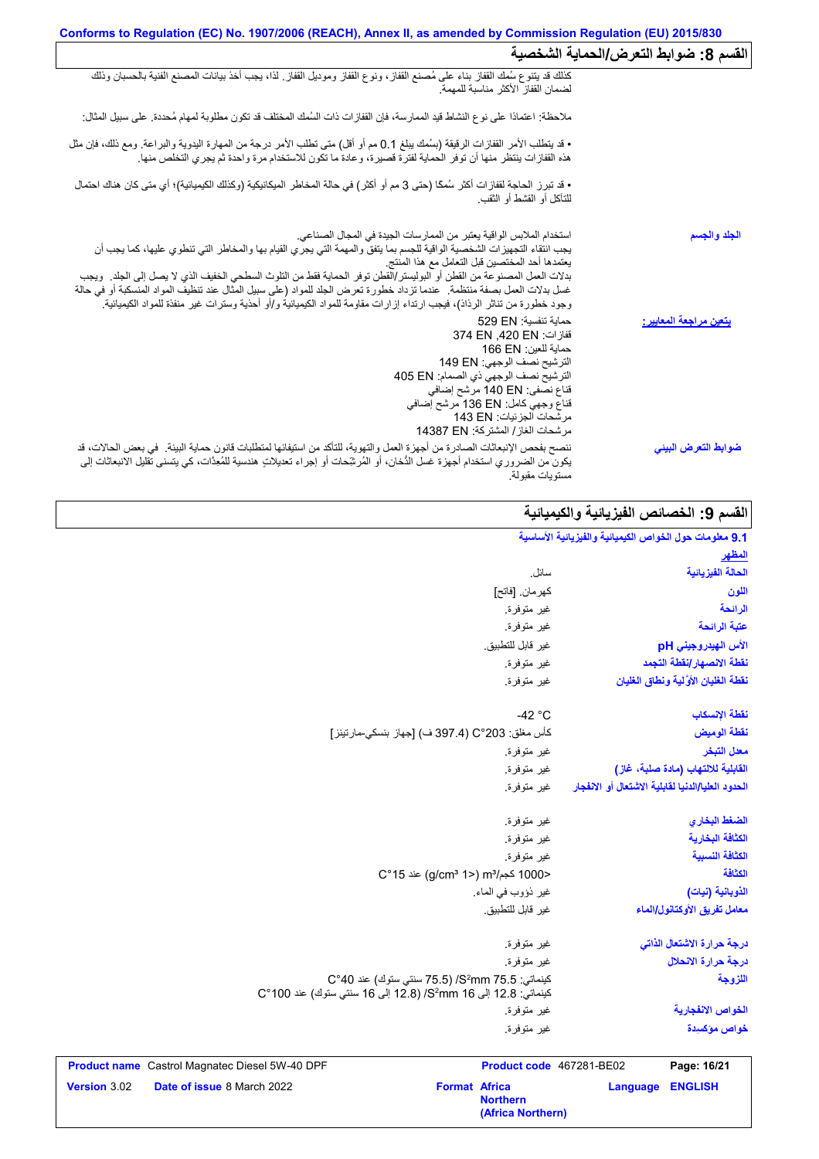| القسم 8: ضوابط التعرض/الحماية الشخصية |                                                                                                                                                                                                                                                                                                                                                                                                                                                                                                                                                                                                                                              |
|---------------------------------------|----------------------------------------------------------------------------------------------------------------------------------------------------------------------------------------------------------------------------------------------------------------------------------------------------------------------------------------------------------------------------------------------------------------------------------------------------------------------------------------------------------------------------------------------------------------------------------------------------------------------------------------------|
|                                       | كذلك قد يتنوع سُمك القفاز بناء على مُصنع القفاز، ونوع القفاز وموديل القفاز ٍ لذا، يجب أخذ بيانات المصنع الفنية بالحسبان وذلك<br>لضمان القفاز الأكثر مناسبة للمهمة                                                                                                                                                                                                                                                                                                                                                                                                                                                                            |
|                                       | ملاحظة: اعتمادًا على نوع النشاط قيد الممارسة، فإن القفازات ذات السُمك المختلف قد تكون مطلوبة لمهام مُحددة. على سبيل المثال:                                                                                                                                                                                                                                                                                                                                                                                                                                                                                                                  |
|                                       | • قد يتطلب الأمر القفازات الرقيقة (بسُمك يبلغ 0.1 مم أو أقل) متى تطلب الأمر درجة من المهارة اليدوية والبراعة. ومع ذلك، فإن مثل<br>هذه القفازات ينتظر منها أن توفر الحماية لفترة قصيرة، وعادة ما تكون للاستخدام مرة واحدة ثم يجري                                                                                                                                                                                                                                                                                                                                                                                                             |
|                                       | • قد تبرز الحاجة لقفازات أكثر سُمكًا (حتى 3 مم أو أكثر ) في حالة المخاطر الميكانيكية (وكذلك الكيميائية)؛ أي متى كان هناك احتمال<br>للتآكل أو القشط أو الثقب.                                                                                                                                                                                                                                                                                                                                                                                                                                                                                 |
| الجلد والجسم                          | استخدام الملابس الواقية يعتبر من الممارسات الجيدة في المجال الصناعي.<br>يجب انتقاء التجهيزات الشخصية الواقية للجسم بما يتفق والمهمة التي يجري القيام بها والمخاطر التي تنطوي عليها، كما يجب أن<br>يعتمدها أحد المختصبين قبل التعامل مع هذا المنتج<br>بدلات العمل المصنوعة من القطن أو البوليستر/القطن توفر الحماية فقط من التلوث السطحي الخفيف الذي لا يصل إلى الجلد <sub>.</sub> ويجب<br>غسل بدلات العمل بصفة منتظمة ٍ عندما تزداد خطورة تعرض الجلد للمواد (على سبيل المثال عند تنظيف المواد المنسكبة أو في حالة<br>وجود خطورة من تناثر الرذاذ)، فيجب ارتداء إزارات مقاومة للمواد الكيميائية و/أو أحذية وسترات غير منفذة للمواد الكيميائية. |
| يتعين مراجعة المعايير:                | حماية تنفسية: 529 EN<br>قفاز ات: 374 EN .420 EN<br>حماية للعين: 166 EN<br>الترشيح نصف الوجهي: 149 EN<br>الترشيح نصف الوجهي ذي الصمام: 405 EN<br>قناع نصفي: 140 EN مرشح إضافي<br>قناع وجهي كامل: 136 EN مرشح إضافي<br>مر شحات الجز ئيات: 143 EN<br>مر شحات الغاز / المشتر كة: 14387 EN                                                                                                                                                                                                                                                                                                                                                        |
| ضوابط التعرض البيني                   | ننصح بفحص الإنبعاثات الصادرة من أجهزة العمل والتهوية، للتأكد من استيفائها لمتطلبات قانون حماية البيئة في بعض الحالات، قد<br>يكون من الضروري استخدام أجهزة غسل الدُّخان، أو المُرشِّحات أو إجراء تعديلاتٍ هندسية للمُعِدَّات، كي يتسنى تقليل الانبعاثات إلى<br>مستويات مقبولة.                                                                                                                                                                                                                                                                                                                                                                |

# ا<mark>لقسم 9: الخصائص الفیزیائیة والكیمیائیة</mark>

| سائل.                                                                                                                                        |
|----------------------------------------------------------------------------------------------------------------------------------------------|
| كهر مان. [فاتح]                                                                                                                              |
| غير متوفرة.                                                                                                                                  |
| غير متوفرة.                                                                                                                                  |
| غير قابل للتطبيق.                                                                                                                            |
| غير متوفرة.                                                                                                                                  |
| غير متوفرة.                                                                                                                                  |
| $-42 °C$                                                                                                                                     |
| كأس مغلق: 203°C (397.4 ف) [جهاز بنسكي-مارتينز]                                                                                               |
| غير متوفرة                                                                                                                                   |
| غير متوفرة.                                                                                                                                  |
| غير متوفرة.                                                                                                                                  |
| غير متوفرة.                                                                                                                                  |
| غير متوفرة.                                                                                                                                  |
| غير متوفرة.                                                                                                                                  |
| <1000 كجم/m3 (2°15) m3 عند 15°C                                                                                                              |
| غير ذؤوب في الماء.                                                                                                                           |
| غير قابل للتطبيق.                                                                                                                            |
| غير متوفرة.                                                                                                                                  |
| غير متوفرة.                                                                                                                                  |
| كينماتي: 5.5 S <sup>2</sup> mm) /S/ (75.5 سنتي ستوك) عند 40°C<br>كينماتي: 12.8 إلى 81 S <sup>2</sup> mm(8) (12.8 إلى 16 سنتي ستوك) عند 100°C |
| غير متوفرة.                                                                                                                                  |
| غير متوفرة.                                                                                                                                  |
|                                                                                                                                              |

| <b>Product name</b> Castrol Magnatec Diesel 5W-40 DPF |                                   |                      | <b>Product code</b> 467281-BE02      |                  | Page: 16/21 |
|-------------------------------------------------------|-----------------------------------|----------------------|--------------------------------------|------------------|-------------|
| <b>Version 3.02</b>                                   | <b>Date of issue 8 March 2022</b> | <b>Format Africa</b> | <b>Northern</b><br>(Africa Northern) | Language ENGLISH |             |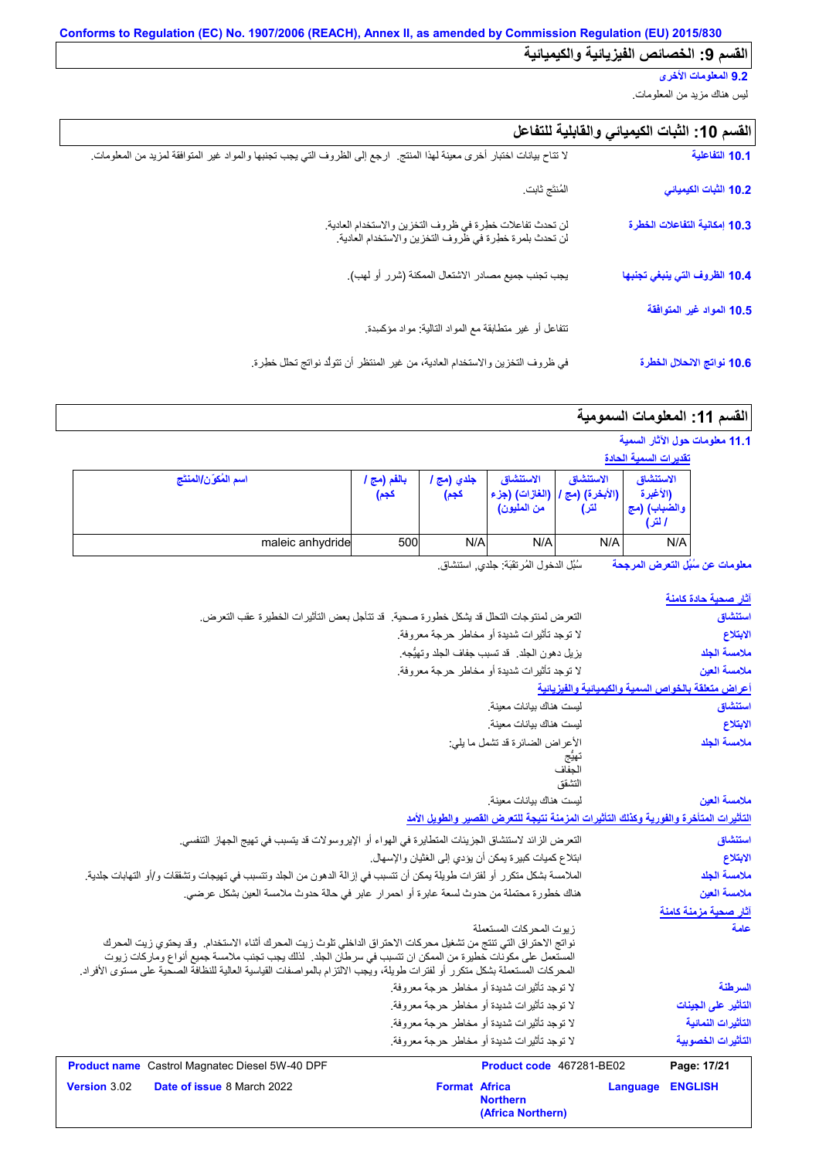### **9.2 المعلومات الأخرى**

لیس ھناك مزید من المعلومات.

| القسم 10: الثبات الكيميائي والقابلية للتفاعل |  |  |  |
|----------------------------------------------|--|--|--|
|----------------------------------------------|--|--|--|

| 10.1 التفاعلية                | لا تتاح بيانات اختبار أخرى معينة لهذا المنتج.  ارجع إلى الظروف التي يجب تجنبها والمواد غير المتوافقة لمزيد من المعلومات. |
|-------------------------------|--------------------------------------------------------------------------------------------------------------------------|
| 10.2 الثبات الكيميائي         | المُنتَج ثابت                                                                                                            |
| 10.3 إمكانية التفاعلات الخطرة | لن تحدث تفاعلات خطرة في ظروف التخزين والاستخدام العادية.<br>لن تحدث بلمرة خطرة في ظروف التخزين والاستخدام العادية.       |
| 10.4 الظروف التي ينبغي تجنبها | يجب تجنب جميع مصادر الاشتعال الممكنة (شرر أو لهب).                                                                       |
| 10.5 المواد غير المتوافقة     | نتفاعل أو غير متطابقة مع المواد النالية: مواد مؤكسدة.                                                                    |
| 10.6 نواتج الانحلال الخطرة    | في ظروف التخزين والاستخدام العادية، من غير المنتظر أن تتولَّد نواتج تحلَّل خطِرة.                                        |

# القسم **11:** المعلومات السمومية

| 11.1 معلومات حول الآثار السمية |
|--------------------------------|
|--------------------------------|

|                      |                     |                    |                                            |                                        | <u>تقديرات السمية الحادة</u>                    |
|----------------------|---------------------|--------------------|--------------------------------------------|----------------------------------------|-------------------------------------------------|
| اسم المُكوّن/المنتَج | بالفم (مج ا<br>كجم) | جلدي (مج '<br>كجم) | الاستنشاق<br>(الغازات) (جزء<br>من المليون) | الاستنشاق<br>. (الأبخرة) (مج '<br>لتر) | الاستنشاق<br>(الأغبرة<br>والضباب) (مج<br>ا لتر) |
| maleic anhydride     | 500                 | N/A                | N/A                                        | N/A                                    | N/A                                             |

سُبُل الدخول المُرتقَبَة: جلدي, استنشاق. **معلومات عن سُبُل التعرض المرجحة**

| <u>آثار صحبة حادة كا</u> منة                        |          |                                                                                       |                                                                                                                                                                                                                                                                                                                                                             |
|-----------------------------------------------------|----------|---------------------------------------------------------------------------------------|-------------------------------------------------------------------------------------------------------------------------------------------------------------------------------------------------------------------------------------------------------------------------------------------------------------------------------------------------------------|
| استنشاق                                             |          |                                                                                       | التعرض لمنتوجات التحلل قد يشكل خطورة صحية . قد تتأجل بعض التأثير ات الخطيرة عقب التعرض.                                                                                                                                                                                                                                                                     |
| الابتلاع                                            |          | لا توجد تأثيرات شديدة أو مخاطر حرجة معروفة.                                           |                                                                                                                                                                                                                                                                                                                                                             |
| ملامسة الجلد                                        |          | يزيل دهون الجلد. قد تسبب جفاف الجلد وتهيُّجه.                                         |                                                                                                                                                                                                                                                                                                                                                             |
| ملامسة العين                                        |          | لا توجد تأثيرات شديدة أو مخاطر حرجة معروفة.                                           |                                                                                                                                                                                                                                                                                                                                                             |
| أعراض متعلقة بالخواص السمية والكيميانية والفيزيانية |          |                                                                                       |                                                                                                                                                                                                                                                                                                                                                             |
| استنشاق                                             |          | ليست هناك بيانات معينة.                                                               |                                                                                                                                                                                                                                                                                                                                                             |
| الابتلاع                                            |          | ليست هناك بيانات معينة                                                                |                                                                                                                                                                                                                                                                                                                                                             |
| ملامسة الجلد                                        |          | الأعراض الضائرة قد تشمل ما يلي:                                                       |                                                                                                                                                                                                                                                                                                                                                             |
|                                                     |          | تهيج<br>الجفاف                                                                        |                                                                                                                                                                                                                                                                                                                                                             |
|                                                     |          | التشقق                                                                                |                                                                                                                                                                                                                                                                                                                                                             |
| ملامسة العبن                                        |          | ليست هناك بيانات معينة.                                                               |                                                                                                                                                                                                                                                                                                                                                             |
|                                                     |          | التأثيرات المتأخرة والفورية وكذلك التأثيرات المزمنة نتبجة للتعرض القصير والطويل الأمد |                                                                                                                                                                                                                                                                                                                                                             |
| استنشاق                                             |          |                                                                                       | النعرض الزائد لاستنشاق الجزيئات المتطايرة في الهواء أو الإيروسولات قد يتسبب في تهيج الجهاز التنفسي.                                                                                                                                                                                                                                                         |
| الابتلاع                                            |          | ابتلاع كميات كبيرة يمكن أن يؤدي إلى الغثيان والإسهال.                                 |                                                                                                                                                                                                                                                                                                                                                             |
| ملامسة الجلد                                        |          |                                                                                       | الملامسة بشكل متكرر أو لفترات طويلة يمكن أن تتسبب في إزالة الدهون من الجلد وتتسبب في تهيجات وتشققات و/أو التهابات جلدية.                                                                                                                                                                                                                                    |
| ملامسة العين                                        |          |                                                                                       | هناك خطورة محتملة من حدوث لسعة عابرة أو احمرار عابر في حالة حدوث ملامسة العين بشكل عرضي.                                                                                                                                                                                                                                                                    |
| <u>آثار صحية مزمنة كام</u> نة                       |          |                                                                                       |                                                                                                                                                                                                                                                                                                                                                             |
| عامة                                                |          | ز بوت المحر كات المستعملة                                                             | نواتج الاحتراق التي تنتج من تشغيل محركات الاحتراق الداخلي تلوث زيت المحرك أثناء الاستخدام. وقد يحتوي زيت المحرك<br>المستعمل على مكونات خطيرة من الممكن ان تتسبب في سرطان الجلد.  لذلك يجب تجنب ملامسة جميع أنواع وماركات زيوت<br>المحركات المستعملة بشكل متكرر أو لفترات طويلة، ويجب الالتزام بالمواصفات القياسية العالية للنظافة الصحية على مستوى الأفراد. |
| السرطنة                                             |          | لا توجد تأثيرات شديدة أو مخاطر حرجة معروفة.                                           |                                                                                                                                                                                                                                                                                                                                                             |
| التأثير على الجينات                                 |          | لا توجد تأثيرات شديدة أو مخاطر حرجة معروفة.                                           |                                                                                                                                                                                                                                                                                                                                                             |
| التأثيرات النمائية                                  |          | لا توجد تأثيرات شديدة أو مخاطر حرجة معروفة.                                           |                                                                                                                                                                                                                                                                                                                                                             |
| التأثيرات الخصوبية                                  |          | لا توجد تأثير ات شديدة أو مخاطر  حر جة معر و فة ِ                                     |                                                                                                                                                                                                                                                                                                                                                             |
| Page: 17/21                                         |          | Product code 467281-BE02                                                              | <b>Product name</b> Castrol Magnatec Diesel 5W-40 DPF                                                                                                                                                                                                                                                                                                       |
| <b>ENGLISH</b>                                      | Language | <b>Format Africa</b><br><b>Northern</b><br>(Africa Northern)                          | Date of issue 8 March 2022                                                                                                                                                                                                                                                                                                                                  |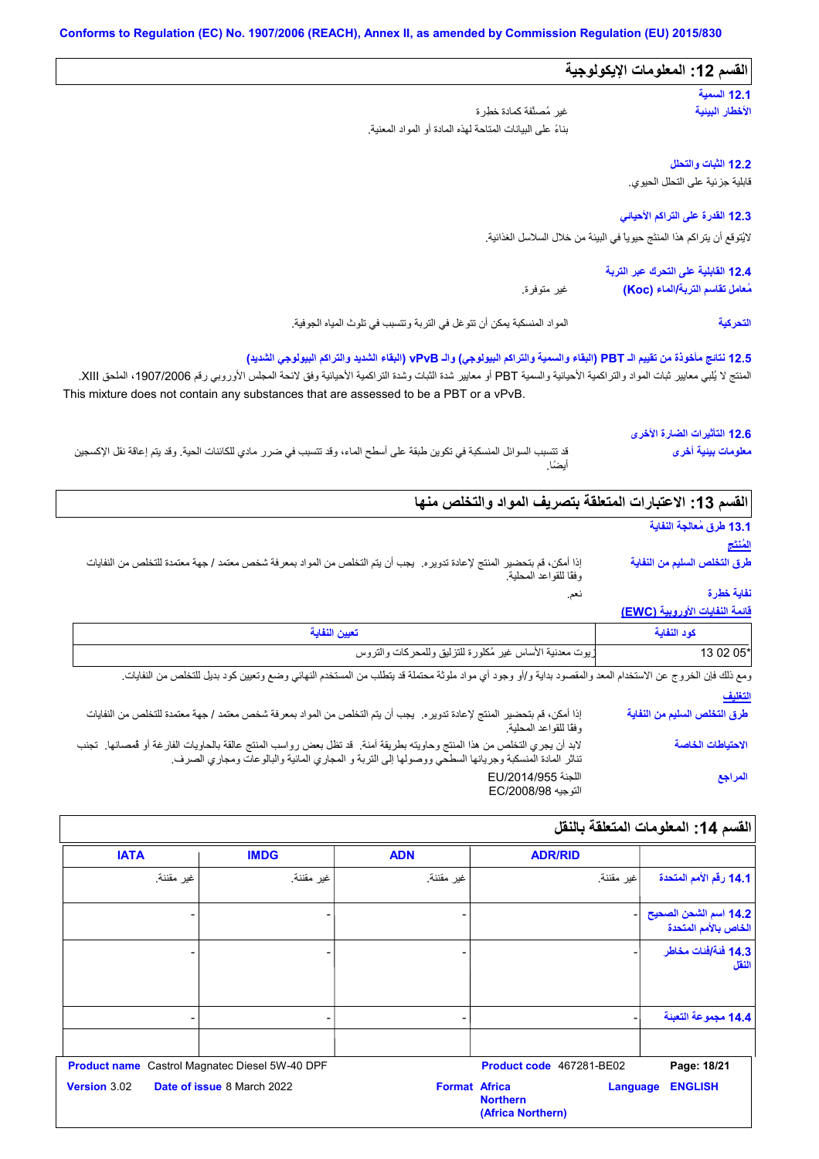| القسم 12: المعلومات الإيكولوجية                                            |                                                                                                                                                                                                                                                                                                                                                                                     |
|----------------------------------------------------------------------------|-------------------------------------------------------------------------------------------------------------------------------------------------------------------------------------------------------------------------------------------------------------------------------------------------------------------------------------------------------------------------------------|
| 12.1 السعية                                                                |                                                                                                                                                                                                                                                                                                                                                                                     |
| الأخطار البينية                                                            | غير مُصنَّفة كمادة خطِرة                                                                                                                                                                                                                                                                                                                                                            |
|                                                                            | بناءً على البيانات المتاحة لهذه المادة أو المواد المعنية.                                                                                                                                                                                                                                                                                                                           |
| 12.2 الثبات والتحلل                                                        |                                                                                                                                                                                                                                                                                                                                                                                     |
| قابلية جزئية على التحلل الحيوي.                                            |                                                                                                                                                                                                                                                                                                                                                                                     |
| 12.3 القدرة على التراكم الأحياني                                           |                                                                                                                                                                                                                                                                                                                                                                                     |
| لايُتوقع أن يتر اكم هذا المنتَج حيوياً في البيئة من خلال السلاسل الغذائية. |                                                                                                                                                                                                                                                                                                                                                                                     |
| 12.4 القابلية على التحرك عبر التربة                                        |                                                                                                                                                                                                                                                                                                                                                                                     |
| مُعامل تقاسم التربة/الماء (Koc)                                            | غير متوفرة.                                                                                                                                                                                                                                                                                                                                                                         |
| التحركية                                                                   | المواد المنسكبة يمكن أن نتوغل في التربة ونتسبب في تلوث المياه الجوفية.                                                                                                                                                                                                                                                                                                              |
|                                                                            | 12.5 نتائج مأخوذة من تقييم الـ PBT (البقاء والسمية والتراكم البيولوجي) والـ vPvB (البقاء الشديد والتراكم البيولوجي الشديد)<br>المنتج لا يُلبي معايير ثبات المواد والتراكمية الأحيائية والسمية PBT أو معايير شدة الثنراكمية الأحيائية وفق لائحة المجلس الأوروبي رقم 1907/2006، الملحق XIII.<br>This mixture does not contain any substances that are assessed to be a PBT or a vPvB. |
| 12.6 التأثيرات الضارة الأخرى                                               |                                                                                                                                                                                                                                                                                                                                                                                     |
| معلومات بينية أخرى                                                         | قد تتسبب السوائل المنسكبة في تكوين طبقة على أسطح الماء، وقد تتسبب في ضرر ٍ مادي للكائنات الحية. وقد يتم إعاقة نقل الإكسجين<br>أيضًا.                                                                                                                                                                                                                                                |
|                                                                            | القسم 13: الاعتبارات المتعلقة بتصريف المواد والتخلص منها                                                                                                                                                                                                                                                                                                                            |
| 13.1 طرق مُعالجة النفاية                                                   |                                                                                                                                                                                                                                                                                                                                                                                     |
| لمُنتَج                                                                    |                                                                                                                                                                                                                                                                                                                                                                                     |

نعم. إذا أمكن، قم بتحضیر المنتج لإعادة تدویره. یجب أن یتم التخلص من المواد بمعرفة شخص معتمد / جھة معتمدة للتخلص من النفایات وفقًا للقواعد المحلیة. **طرق التخلص السلیم من النفایة**

#### **قائمة النفایات الأوروبیة (EWC( نفایة خطِرة**

| تعبين النفاية                                            | كود النفاية |
|----------------------------------------------------------|-------------|
| زيوت معدنية الأساس غير مُكلورة للتزليق وللمحركات والتروس | 13 02 05*   |

**التغلیف** ومع ذلك فإن الخروج عن الاستخدام المعد والمقصود بدایة و/أو وجود أي مواد ملوثة محتملة قد یتطلب من المستخدم النھائي وضع وتعیین كود بدیل للتخلص من النفایات.

إذا أمكن، قم بتحضیر المنتج لإعادة تدویره. یجب أن یتم التخلص من المواد بمعرفة شخص معتمد / جھة معتمدة للتخلص من النفایات وفقًا للقواعد المحلیة. لابد أن يجري التخلص من هذا المنتج وحاويته بطريقة آمنة. قد تظل بعض رواسب المنتج عالقة بالحاويات الفارغة أو قُمصانها. تجنب تناثر المادة المنسكبة وجریانھا السطحي ووصولھا إلى التربة و المجاري المائیة والبالوعات ومجاري الصرف. اللجنة EU/2014/955 .<br>التوجیه EC/2008/98 **طرق التخلص السلیم من النفایة الاحتیاطات الخاصة المراجع**

| القسم 14: المعلومات المتعلقة بالنقل           |                                                         |                      |                                   |                     |
|-----------------------------------------------|---------------------------------------------------------|----------------------|-----------------------------------|---------------------|
|                                               | <b>ADR/RID</b>                                          | <b>ADN</b>           | <b>IMDG</b>                       | <b>IATA</b>         |
| 14.1 رقم الأمم المتحدة                        | غير مقننة.                                              | غير مقننة.           | غير مقننة.                        | غير مقننة.          |
| 14.2 اسم الشحن الصحيح<br>الخاص بالأمم المتحدة |                                                         |                      |                                   |                     |
| 14.3 فَنَةَ/فَنات مخاطر<br>النقل              |                                                         |                      |                                   |                     |
| 14.4 مجموعة التعبنة                           |                                                         |                      |                                   |                     |
| Page: 18/21                                   | Product code 467281-BE02                                |                      | Castrol Magnatec Diesel 5W-40 DPF | <b>Product name</b> |
| <b>ENGLISH</b>                                | <b>Language</b><br><b>Northern</b><br>(Africa Northern) | <b>Format Africa</b> | Date of issue 8 March 2022        | Version 3.02        |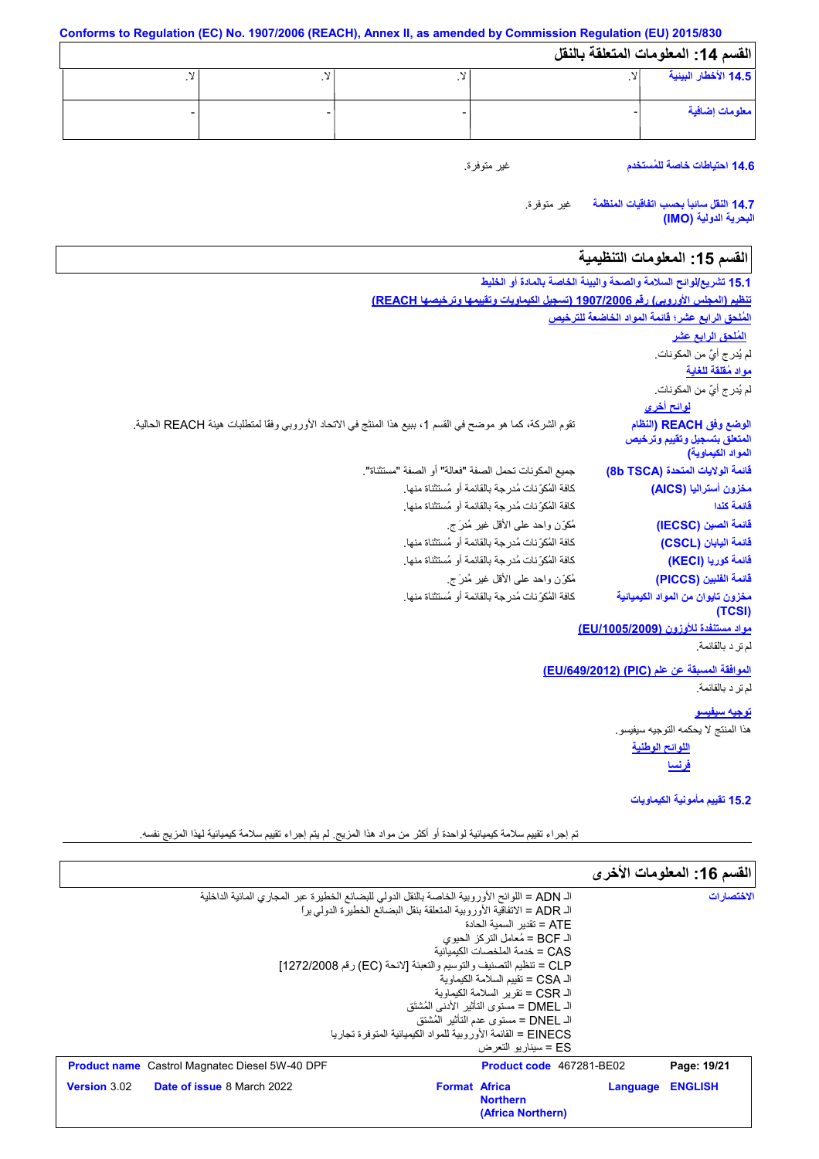**Conforms to Regulation (EC) No. 1907/2006 (REACH), Annex II, as amended by Commission Regulation (EU) 2015/830 القسم :14 المعلومات المتعلقة بالنقل** لا. - لا. - لا. - لا. - **14.5 الأخطار البیئیة معلومات إضافیة**

**14.6 احتیاطات خاصة للمُستخدم**

غیر متوفرة.

غیر متوفرة. **14.7 النقل سائباً بحسب اتفاقیات المنظمة البحریة الدولیة (IMO(**

# القسم 15: المعلومات التنظيمية

| 15.1 تشريع/لوائح السلامة والصحة والبيئة الخاصة بالمادة أو الخليط             |                                                                                                              |
|------------------------------------------------------------------------------|--------------------------------------------------------------------------------------------------------------|
|                                                                              | تنظيم (المجلس الأوروبي) رقم 1907/2006 (تسجيل الكيماويات وتقييمها وترخيصها REACH)                             |
| المُلحق الرابع عشر؛ قائمة المواد الخاضعة للترخيص                             |                                                                                                              |
| المُلحق الرابع عشر                                                           |                                                                                                              |
| لم يُدر ج أيٌّ من المكونات.                                                  |                                                                                                              |
| <u>مواد مُقلقة للغاية</u>                                                    |                                                                                                              |
| لم يُدر ج أيٌّ من المكونات.                                                  |                                                                                                              |
| <mark>لوائح أخرى</mark>                                                      |                                                                                                              |
| الوضع وفق REACH (النظام<br>المنعلق بتسجيل وتقييم وترخيص<br>المواد الكيماوية) | تقوم الشركة، كما هو موضح في القسم 1، ببيع هذا المنتَج في الاتحاد الأوروبي وفقًا لمتطلبات هيئة REACH الحالية. |
| فَانمة الولايات المتحدة (8b TSCA)                                            | جميع المكونات تحمل الصفة "فعالة" أو الصفة "مستثناة".                                                         |
| مخزون أستراليا (AICS)                                                        | كافة المُكوِّ نات مُدرِجة بالقائمة أو مُستثناة منها.                                                         |
| قائمة كندا                                                                   | كافة المُكوِّ نات مُدرجة بالقائمة أو مُستثناة منها.                                                          |
| فَائِمة الصين (IECSC)                                                        | مُكوِّن واحد على الأقل غير مُدرَج.                                                                           |
| فَائِمة الْبِابان (CSCL)                                                     | كافة المُكوِّ نات مُدرِجة بالقائمة أو مُستثناة منها.                                                         |
| فَائمة كوريا (KECI)                                                          | كافة المُكرِّ نات مُدرجة بالقائمة أو مُستثناة منها.                                                          |
| فَائِمة الفَلْبِين (PICCS)                                                   | مُكوّزن واحد على الأقل غير مُدرَ ج.                                                                          |
| مخزون تايوان من المواد الكيميائية<br>(TCSI)                                  | كافة المُكوِّ نات مُدرِ جة بالقائمة أو مُستثناة منها.                                                        |
| مواد مستنفدة للأوزون (EU/1005/2009)                                          |                                                                                                              |
| لم نر د بالقائمة.                                                            |                                                                                                              |
| الموافقة المسبقة عن علم (PIC) (EU/649/2012)                                  |                                                                                                              |
| لم تر د بالقائمة.                                                            |                                                                                                              |
| <u>توجيه سيفيسو</u>                                                          |                                                                                                              |
| هذا المنتج لا يحكمه التوجيه سيفيسو.                                          |                                                                                                              |
| اللوائح الوطنية                                                              |                                                                                                              |
| <u>فرنسا</u>                                                                 |                                                                                                              |
| 15.2 نقييم مأمونية الكيماويات                                                |                                                                                                              |

تم إجراء تقییم سلامة كیمیائیة لواحدة أو أكثر من مواد ھذا المزیج. لم یتم إجراء تقییم سلامة كیمیائیة لھذا المزیج نفسھ.

|                                                                                               |                      |                                                                 |          | القسم 16: المعلومات الأخرى |
|-----------------------------------------------------------------------------------------------|----------------------|-----------------------------------------------------------------|----------|----------------------------|
| الـ ADN = اللوائح الأوروبية الخاصة بالنقل الدولي للبضائع الخطيرة عبر المجاري المائية الداخلية |                      |                                                                 |          | الاختصار ات                |
| الـ ADR = الاتفاقية الأوروبية المتعلقة بنقل البضائع الخطيرة الدولي براً                       |                      |                                                                 |          |                            |
|                                                                                               |                      | ATF = تقدىر  السمية الحادة                                      |          |                            |
|                                                                                               |                      | الـ BCF = مُعامل النركز  الحبو ي                                |          |                            |
|                                                                                               |                      | CAS = خدمة الملخصات الكبمبائبة                                  |          |                            |
| CLP = تنظيم التصنيف والتوسيم والتعبئة [لائحة (EC) رقم 1272/2008]                              |                      |                                                                 |          |                            |
|                                                                                               |                      | الـ CSA = تقبيم السلامة الكيماوية                               |          |                            |
|                                                                                               |                      | الـ CSR = تقرير السلامة الكبماوية                               |          |                            |
|                                                                                               |                      | الـ DMEL = مستوى التأثير  الأدني المُشتَق                       |          |                            |
|                                                                                               |                      | اك DNEL = مستوى عدم التأثير   المُشتق                           |          |                            |
|                                                                                               |                      | EINECS = القائمة الأور وبية للمواد الكيميائية المتوفر ة تجار با |          |                            |
|                                                                                               |                      | ES = سبنار بو التعرض                                            |          |                            |
| <b>Product name</b> Castrol Magnatec Diesel 5W-40 DPF                                         |                      | <b>Product code</b> 467281-BE02                                 |          | Page: 19/21                |
| Version 3.02<br><b>Date of issue 8 March 2022</b>                                             | <b>Format Africa</b> |                                                                 | Language | <b>ENGLISH</b>             |
|                                                                                               |                      | <b>Northern</b>                                                 |          |                            |
|                                                                                               |                      | (Africa Northern)                                               |          |                            |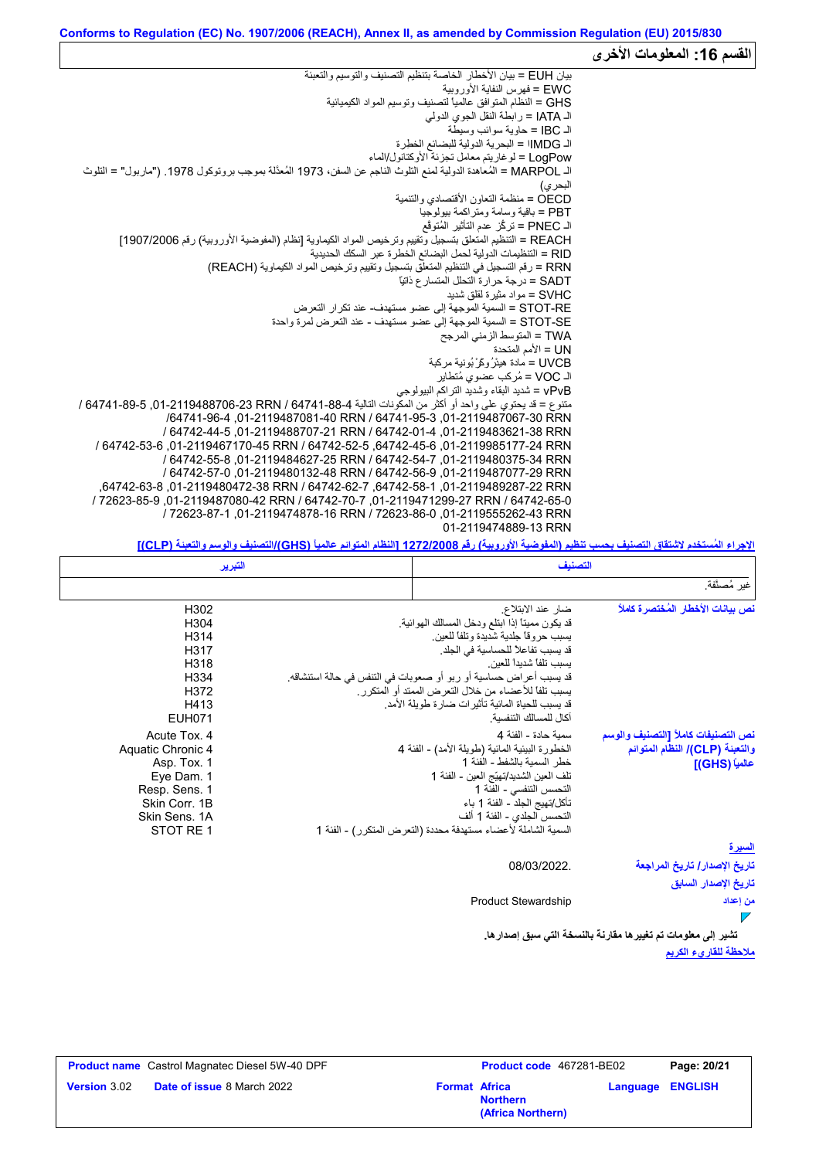|                                                                                                                                                     | القسم 16: المعلومات الأخرى |
|-----------------------------------------------------------------------------------------------------------------------------------------------------|----------------------------|
| بيان EUH = بيان الأخطار الخاصة بتنظيم التصنيف والتوسيم والتعبئة                                                                                     |                            |
| EWC = فهر س النفاية الأور وبية                                                                                                                      |                            |
| GHS = النظام المتوافق عالمياً لتصنيف وتوسيم المواد الكيميائية                                                                                       |                            |
| الـ IATA = رابطة النقل الجوى الدولي                                                                                                                 |                            |
| الــ IBC = حاوية سوائب وسيطة                                                                                                                        |                            |
| الـ IMDG! = البحرية الدولية للبضائع الخطرة                                                                                                          |                            |
| LogPow = لوغاريتم معامل تجزئة الأوكتانول/الماء                                                                                                      |                            |
| الـ MARPOL = المُعاهدة الدولية لمنع التلوث الناجم عن السفن، 1973 المُعدَّلة بموجب بروتوكول 1978. ("ماربول" = التلوث                                 |                            |
| البحر ي)                                                                                                                                            |                            |
| OECD = منظمة النعاون الأقتصادي والننمية                                                                                                             |                            |
| PBT = باقية وسامة ومتر اكمة بيولوجيا                                                                                                                |                            |
| الـ PNEC = تركُّز عدم التأثير المُتوقَّع                                                                                                            |                            |
| REACH = التنظيم المتعلق بتسجيل وتقييم وترخيص المواد الكيماوية [نظام (المفوضية الأوروبية) رقم 1907/2006]                                             |                            |
| RID = التنظيمات الدولية لحمل البضائع الخطرة عبر السكك الحديدية                                                                                      |                            |
| RRN = رقم التسجيل في التنظيم المتعلق بتسجيل وتقييم وترخيص المواد الكيماوية (REACH)                                                                  |                            |
| SADT = در جة حر ار ة التحلل المتسار ع ذاتيًّا                                                                                                       |                            |
| SVHC = مو اد مثير ة لقلق شديد                                                                                                                       |                            |
| STOT-RE = السمية الموجهة إلى عضو مستهدف- عند تكر ار التعرض                                                                                          |                            |
| STOT-SE = السمية الموجهة إلى عضو مستهدف - عند التعرض لمرة واحدة                                                                                     |                            |
| TWA = المتوسط الزمني المرجح                                                                                                                         |                            |
| UN = الأمم المتحدة                                                                                                                                  |                            |
| UVCB = مادة هيئرُ وكَرْ بُونية مركبة                                                                                                                |                            |
| الـ VOC = مُركب عضوى مُتطاير                                                                                                                        |                            |
| vPvB = شديد البقاء وشديد التراكم البيولوجي<br>متنوع = قد يحتوي على واحد أو أكثر من المكونات التالية 4-88-64741 / RN 741-88-23 RRN 764741 / 64741-89 |                            |
| /64741-96-3 01-2119487081-40 RRN / 64741-95-3 01-2119487067-30 RRN                                                                                  |                            |
| / 64742-44-5 .01-2119488707-21 RRN / 64742-01-4 .01-2119483621-38 RRN                                                                               |                            |
| / 64742-53-6 .01-2119467170-45 RRN / 64742-52-5 .64742-45-6 .01-2119985177-24 RRN                                                                   |                            |
| / 64742-55-8, 01-2119484627-25 RRN / 64742-54-7, 01-2119480375-34 RRN                                                                               |                            |
| / 64742-57-0.01-2119480132-48 RRN / 64742-56-9.01-2119487077-29 RRN                                                                                 |                            |
| .64742-63-82878287-22 RRN / 64742-62-7 .64742-58-1 01-2119489287-22 RRN                                                                             |                            |
| / 72623-85-9.01-2119487080-42 RRN / 64742-70-7 ,01-2119471299-27 RRN / 64742-65-0                                                                   |                            |
| / 72623-87-1.01-2119474878-16 RRN / 72623-86-0.01-2119555262-43 RRN                                                                                 |                            |
| 01-2119474889-13 RRN                                                                                                                                |                            |
|                                                                                                                                                     |                            |

**الإجراء المُستخدم لاشتقاق التصنیف بحسب تنظیم (المفوضیة الأوروبیة) رقم 1272/2008 [النظام المتوائم عالمیاً (GHS(/التصنیف والوسم والتعبئة (CLP[(**

|                                     | التصنيف                                                           | التبرير           |  |
|-------------------------------------|-------------------------------------------------------------------|-------------------|--|
| غير مُصنَّفة.                       |                                                                   |                   |  |
| نص ببانات الأخطار المُختصر ة كاملاً | ضار عند الابتلاع.                                                 | H302              |  |
|                                     | قد يكون مميناً إذا ابتلع ودخل المسالك الهوائية.                   | H <sub>304</sub>  |  |
|                                     | يسبب حروقا جلدية شديدة وتلفا للعين                                | H <sub>3</sub> 14 |  |
|                                     | قد يسبب تفاعلاً للحساسية في الجلد.                                | H317              |  |
|                                     | بسبب تلفا شدبدا للعبن                                             | H318              |  |
|                                     | قد يسبب أعراض حساسية أو ربو أو صعوبات في التنفس في حالة استنشاقه. | H334              |  |
|                                     | يسبب تلفاً للأعضاء من خلال التعرض الممتد أو المتكرر .             | H372              |  |
|                                     | قد يسبب للحياة المائية تأثيرات ضارة طويلة الأمد.                  | H413              |  |
|                                     | آكال للمسالك التنفسبة                                             | <b>EUH071</b>     |  |
| نص التصنيفات كاملأ [التصنيف والوسم  | سمبة حادة - الفئة 4                                               | Acute Tox. 4      |  |
| والتعبنة (CLP)/ النظام المتوائم     | الخطورة البيئية المائية (طويلة الأمد) - الفئة 4                   | Aquatic Chronic 4 |  |
| عالمياً (GHS)]                      | خطر السمبة بالشفط - الفئة 1                                       | Asp. Tox. 1       |  |
|                                     | تلف العين الشديد/تهيّج العين - الفئة 1                            | Eye Dam. 1        |  |
|                                     | التحسس التنفسي - الفئة 1                                          | Resp. Sens. 1     |  |
|                                     | تأكل/تهيج الجلد - الفئة 1 باء                                     | Skin Corr. 1B     |  |
|                                     | التحسس الجلدي - الفئة 1 ألف                                       | Skin Sens, 1A     |  |
|                                     | السمية الشاملة لأعضاء مستهدفة محددة (التعرض المتكرر) - الفئة 1    | STOT RE 1         |  |
| <u>السيرة</u>                       |                                                                   |                   |  |
| تاريخ الإصدار / تاريخ المراجعة      | 08/03/2022.                                                       |                   |  |
| تاريخ الإصدار السابق                |                                                                   |                   |  |
| من إعداد                            | <b>Product Stewardship</b>                                        |                   |  |
| $\nabla$                            |                                                                   |                   |  |
|                                     |                                                                   |                   |  |

**ملاحظة للقاريء الكریم تشیر إلى معلومات تم تغییرھا مقارنةً بالنسخة التي سبق إصدارھا.**